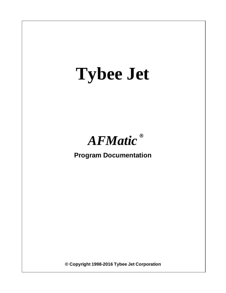# **Tybee Jet**



**Program Documentation**

**© Copyright 1998-2016 Tybee Jet Corporation**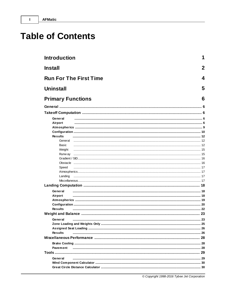$\mathbf I$ 

# **Table of Contents**

| <b>Introduction</b>      |                               | 1   |
|--------------------------|-------------------------------|-----|
| <b>Install</b>           |                               | 2   |
|                          | <b>Run For The First Time</b> | 4   |
| <b>Uninstall</b>         |                               | 5   |
| <b>Primary Functions</b> |                               | 6   |
|                          |                               | . 6 |
|                          |                               |     |
|                          |                               |     |
| General                  |                               |     |
| Airport                  |                               |     |
|                          |                               |     |
| <b>Results</b>           |                               |     |
| General                  |                               |     |
| Basic                    |                               |     |
| Weight                   |                               |     |
| Runw ay                  |                               |     |
|                          |                               |     |
| Obstacle                 |                               |     |
| Speed                    |                               |     |
|                          |                               |     |
| Landing                  |                               |     |
|                          |                               |     |
|                          |                               |     |
| General                  |                               |     |
| Airport                  |                               |     |
|                          |                               |     |
|                          |                               |     |
| <b>Results</b>           |                               |     |
|                          |                               |     |
| General                  |                               | 23  |
|                          |                               |     |
|                          |                               |     |
| <b>Results</b>           |                               |     |
|                          |                               |     |
|                          |                               |     |
| Pavement                 |                               |     |
|                          |                               |     |
| General                  |                               |     |
|                          |                               |     |
|                          |                               |     |
|                          |                               |     |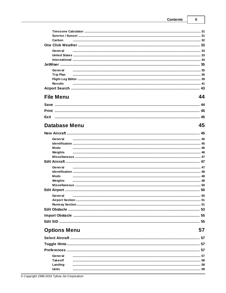44

45

57

| Carbon           |  |
|------------------|--|
|                  |  |
| General          |  |
|                  |  |
|                  |  |
|                  |  |
|                  |  |
| <b>Trip Plan</b> |  |
|                  |  |
| <b>Results</b>   |  |
|                  |  |

# **File Menu**

| Exit |  |
|------|--|

# **Database Menu**

|         | 45 |
|---------|----|
| General |    |
|         |    |
| Mods    |    |
| Weights |    |
|         |    |
|         |    |
| General |    |
|         |    |
| Mods    |    |
| Weights |    |
|         |    |
|         |    |
| General |    |
|         |    |
|         |    |
|         |    |
|         |    |
|         |    |

# **Options Menu**

| General          |  |
|------------------|--|
| <b>Take off</b>  |  |
| Landing<br>Units |  |
|                  |  |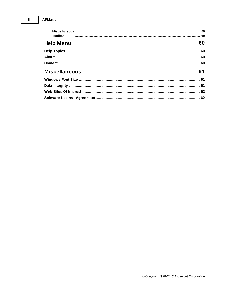| Toolbar              |    |
|----------------------|----|
| <b>Help Menu</b>     | 60 |
|                      |    |
|                      |    |
|                      |    |
| <b>Miscellaneous</b> | 61 |
|                      |    |
|                      |    |
|                      |    |
|                      |    |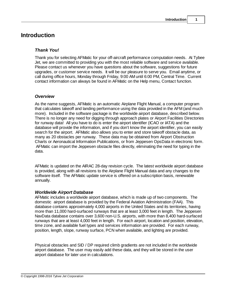# **Introduction**

### *Thank You!*

Thank you for selecting AFMatic for your off-aircraft performance computation needs. At Tybee Jet, we are committed to providing you with the most reliable software and service available. Please contact us whenever you have questions about the software, suggestions for future upgrades, or customer service needs. It will be our pleasure to serve you. Email anytime, or call during office hours, Monday through Friday, 9:00 AM until 6:00 PM, Central Time. Current contact information can always be found in AFMatic on the Help menu, Contact function.

### *Overview*

As the name suggests, AFMatic is an automatic Airplane Flight Manual, a computer program that calculates takeoff and landing performance using the data provided in the AFM (and much more). Included in the software package is the worldwide airport database, described below. There is no longer any need for digging through approach plates or Airport Facilities Directories for runway data! All you have to do is enter the airport identifier (ICAO or IATA) and the database will provide the information, and if you don't know the airport identifier, you can easily search for the airport. AFMatic also allows you to enter and store takeoff obstacle data, as many as 20 obstacles per runway. These data may be obtained from Airport Obstruction Charts or Aeronautical Information Publications, or from Jeppesen OpsData in electronic form. AFMatic can import the Jeppesen obstacle files directly, eliminating the need for typing in the data.

AFMatic is updated on the AIRAC 28-day revision cycle. The latest worldwide airport database is provided, along with all revisions to the Airplane Flight Manual data and any changes to the software itself. The AFMatic update service is offered on a subscription basis, renewable annually.

### *Worldwide Airport Database*

AFMatic includes a worldwide airport database, which is made up of two components. The domestic airport database is provided by the Federal Aviation Administration (FAA). This database contains approximately 4,000 airports in the United States and its territories, having more than 11,000 hard-surfaced runways that are at least 3,000 feet in length. The Jeppesen NavData database contains over 3,600 non-U.S. airports, with more than 8,400 hard-surfaced runways that are at least 4,000 feet in length. For each airport, location and position, elevation, time zone, and available fuel types and services information are provided. For each runway, position, length, slope, runway surface, PCN when available, and lighting are provided.

Physical obstacles and SID / DP required climb gradients are not included in the worldwide airport database. The user may easily add these data, and they will be stored in the user airport database for later use in calculations.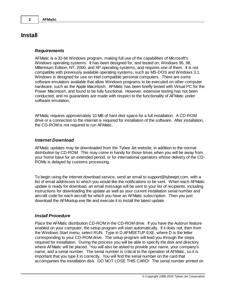# **Install**

### *Requirements*

AFMatic is a 32-bit Windows program, making full use of the capabilities of Microsoft's Windows operating systems. It has been designed for, and tested on, Windows 95, 98, Millennium Edition, NT, 2000, and XP operating systems, and requires one of them. It is not compatible with previously available operating systems, such as MS-DOS and Windows 3.1. Windows is designed for use on Intel compatible personal computers. There are some software emulators available that allow Windows programs to be executed on other computer hardware, such as the Apple Macintosh. AFMatic has been briefly tested with Virtual PC for the Power Macintosh, and found to be fully functional. However, extensive testing has not been conducted, and no guarantees are made with respect to the functionality of AFMatic under software emulation.

AFMatic requires approximately 10 MB of hard disk space for a full installation. A CD-ROM drive or a connection to the internet is required for installation of the software. After installation, the CD-ROM is not required to run AFMatic.

### *Internet Download*

AFMatic updates may be downloaded from the Tybee Jet website, in addition to the normal distribution by CD-ROM. This may come in handy for those times when you will be away from your home base for an extended period, or for international operators whose delivery of the CD-ROMs is delayed by customs processing.

To begin using the internet download service, send an email to support@tybeejet.com, with a list of email addresses to which you would like the notifications to be sent. When each AFMatic update is ready for download, an email message will be sent to your list of recipients, including instructions for downloading the update as well as your current installation serial number and aircraft code for each aircraft for which you have an AFMatic subscription. Then you just download the AFMsetup.exe file and execute it to install the latest update.

### *Install Procedure*

Place the AFMatic distribution CD-ROM in the CD-ROM drive. If you have the Autorun feature enabled on your computer, the setup program will start automatically. If it does not, then from the Windows Start menu, select RUN. Type in D:AFMSETUP.EXE, where D is the letter corresponding to your CD-ROM drive. The setup program will lead you through the steps required for installation. During the process you will be able to specify the disk and directory where AFMatic will be placed. You will also be asked to provide your name, your company's name, and a serial number. The serial number is critical to the operation of AFMatic, so it is important that you type it in correctly. You will find the serial number on the card that accompanies the installation disk. DO NOT LOSE THIS CARD! The serial number printed on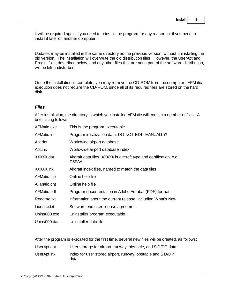it will be required again if you need to reinstall the program for any reason, or if you need to install it later on another computer.

Updates may be installed in the same directory as the previous version, without uninstalling the old version. The installation will overwrite the old distribution files. However, the UserApt and ProgIni files, described below, and any other files that are not a part of the software distribution, will be left undisturbed.

Once the installation is complete, you may remove the CD-ROM from the computer. AFMatic execution does not require the CD-ROM, since all of its required files are stored on the hard disk.

### *Files*

After installation, the directory in which you installed AFMatic will contain a number of files. A brief listing follows:

| AFMatic.exe  | This is the program executable                                               |
|--------------|------------------------------------------------------------------------------|
| AFMatic.ini  | Program initialization data, DO NOT EDIT MANUALLY!                           |
| Apt.dat      | Worldwide airport database                                                   |
| Apt.inx      | Worldwide airport database index                                             |
| XXXXX.dat    | Aircraft data files, XXXXX is aircraft type and certification, e.g.<br>G5FAA |
| XXXXX.inx    | Aircraft index files, named to match the data files                          |
| AFMatic.hlp  | Online help file                                                             |
| AFMatic.cnt  | Online help file                                                             |
| AFMatic.pdf  | Program documentation in Adobe Acrobat (PDF) format                          |
| Readme.txt   | Information about the current release, including What's New                  |
| License.txt  | Software end user license agreement                                          |
| Unins000.exe | Uninstaller program executable                                               |
| Unins000.dat | Uninstaller data file                                                        |

After the program is executed for the first time, several new files will be created, as follows: UserApt.dat User storage for airport, runway, obstacle, and SID/DP data UserApt.inx Index for user stored airport, runway, obstacle and SID/DP data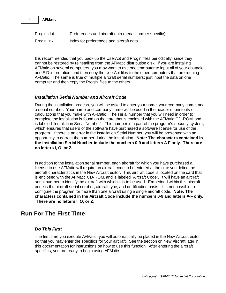| Progini.dat | Preferences and aircraft data (serial number specific) |  |
|-------------|--------------------------------------------------------|--|
| Progini.inx | Index for preferences and aircraft data                |  |

It is recommended that you back up the UserApt and ProgIni files periodically, since they cannot be restored by reinstalling from the AFMatic distribution disk. If you are installing AFMatic on several computers, you may want to use one computer to input all of your obstacle and SID information, and then copy the UserApt files to the other computers that are running AFMatic. The same is true of multiple aircraft serial numbers: just input the data on one computer and then copy the Progini files to the others.

# *Installation Serial Number and Aircraft Code*

During the installation process, you will be asked to enter your name, your company name, and a serial number. Your name and company name will be used in the header of printouts of calculations that you make with AFMatic. The serial number that you will need in order to complete the installation is found on the card that is enclosed with the AFMatic CD-ROM, and is labeled "Installation Serial Number". This number is a part of the program's security system, which ensures that users of the software have purchased a software license for use of the program. If there is an error in the Installation Serial Number, you will be presented with an opportunity to correct the number during the installation. **Note: The characters contained in the Installation Serial Number include the numbers 0-9 and letters A-F only. There are no letters I, O, or Z.**

In addition to the installation serial number, each aircraft for which you have purchased a license to use AFMatic will require an aircraft code to be entered at the time you define the aircraft characteristics in the New Aircraft editor. This aircraft code is located on the card that is enclosed with the AFMatic CD-ROM, and is labeled "Aircraft Code". It will have an aircraft serial number to identify the aircraft with which it is to be used. Embedded within this aircraft code is the aircraft serial number, aircraft type, and certification basis. It is not possible to configure the program for more than one aircraft using a single aircraft code. **Note: The characters contained in the Aircraft Code include the numbers 0-9 and letters A-F only. There are no letters I, O, or Z.**

# **Run For The First Time**

# *Do This First*

**4 AFMatic**

The first time you execute AFMatic, you will automatically be placed in the New Aircraft editor so that you may enter the specifics for your aircraft. See the section on New Aircraft later in this documentation for instructions on how to use this function. After entering the aircraft specifics, you are ready to begin using AFMatic.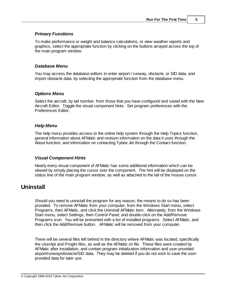# *Primary Functions*

To make performance or weight and balance calculations, or view weather reports and graphics, select the appropriate function by clicking on the buttons arrayed across the top of the main program window.

### *Database Menu*

You may access the database editors to enter airport / runway, obstacle, or SID data, and import obstacle data, by selecting the appropriate function from the database menu.

### *Options Menu*

Select the aircraft, by tail number, from those that you have configured and saved with the New Aircraft Editor. Toggle the visual component hints. Set program preferences with the Preferences Editor.

### *Help Menu*

The help menu provides access to the online help system through the Help Topics function, general information about AFMatic and revision information on the data it uses through the About function, and information on contacting Tybee Jet through the Contact function.

# *Visual Component Hints*

Nearly every visual component of AFMatic has some additional information which can be viewed by simply placing the cursor over the component. The hint will be displayed on the status line of the main program window, as well as attached to the tail of the mouse cursor.

# **Uninstall**

Should you need to uninstall the program for any reason, the means to do so has been provided. To remove AFMatic from your computer, from the Windows Start menu, select Programs, then AFMatic, and click the Uninstall AFMatic item. Alternately, from the Windows Start menu, select Settings, then Control Panel, and double-click on the Add/Remove Programs icon. You will be presented with a list of installed programs. Select AFMatic, and then click the Add/Remove button. AFMatic will be removed from your computer.

There will be several files left behind in the directory where AFMatic was located, specifically the UserApt and ProgIni files, as well as the AFMatic.ini file. These files were created by AFMatic after installation, and contain program initialization information and user-provided airport/runway/obstacle/SID data. They may be deleted if you do not wish to save the userprovided data for later use.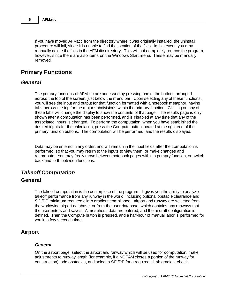If you have moved AFMatic from the directory where it was originally installed, the uninstall procedure will fail, since it is unable to find the location of the files. In this event, you may manually delete the files in the AFMatic directory. This will not completely remove the program, however, since there are also items on the Windows Start menu. These may be manually removed.

# **Primary Functions**

# *General*

The primary functions of AFMatic are accessed by pressing one of the buttons arranged across the top of the screen, just below the menu bar. Upon selecting any of these functions, you will see the input and output for that function formatted with a notebook metaphor, having tabs across the top for the major subdivisions within the primary function. Clicking on any of these tabs will change the display to show the contents of that page. The results page is only shown after a computation has been performed, and is disabled at any time that any of the associated inputs is changed. To perform the computation, when you have established the desired inputs for the calculation, press the Compute button located at the right end of the primary function buttons. The computation will be performed, and the results displayed.

Data may be entered in any order, and will remain in the input fields after the computation is performed, so that you may return to the inputs to view them, or make changes and recompute. You may freely move between notebook pages within a primary function, or switch back and forth between functions.

# *Takeoff Computation*

# **General**

The takeoff computation is the centerpiece of the program. It gives you the ability to analyze takeoff performance from any runway in the world, including optional obstacle clearance and SID/DP minimum required climb gradient compliance. Airport and runway are selected from the worldwide airport database, or from the user database, which contains any runways that the user enters and saves. Atmospheric data are entered, and the aircraft configuration is defined. Then the Compute button is pressed, and a half-hour of manual labor is performed for you in a few seconds time.

# **Airport**

### *General*

On the airport page, select the airport and runway which will be used for computation, make adjustments to runway length (for example, if a NOTAM closes a portion of the runway for construction), add obstacles, and select a SID/DP for a required climb gradient check.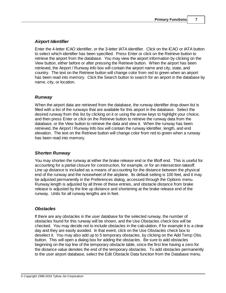# *Airport Identifier*

Enter the 4-letter ICAO identifier, or the 3-letter IATA identifier. Click on the ICAO or IATA button to select which identifier has been specified. Press Enter or click on the Retrieve button to retrieve the airport from the database. You may view the airport information by clicking on the View button, either before or after pressing the Retrieve button. When the airport has been retrieved, the Airport / Runway Info box will contain the airport name and city, state, and country. The text on the Retrieve button will change color from red to green when an airport has been read into memory. Click the Search button to search for an airport in the database by name, city, or location.

# *Runway*

When the airport data are retrieved from the database, the runway identifier drop-down list is filled with a list of the runways that are available for this airport in the database. Select the desired runway from this list by clicking on it or using the arrow keys to highlight your choice, and then press Enter or click on the Retrieve button to retrieve the runway data from the database, or the View button to retrieve the data and view it. When the runway has been retrieved, the Airport / Runway Info box will contain the runway identifier, length, and end elevation. The text on the Retrieve button will change color from red to green when a runway has been read into memory.

# *Shorten Runway*

You may shorten the runway at either the brake release end or the liftoff end. This is useful for accounting for a partial closure for construction, for example, or for an intersection takeoff. Line up distance is included as a means of accounting for the distance between the physical end of the runway and the nosewheel of the airplane. Its default setting is 100 feet, and it may be adjusted permanently in the Preferences dialog, accessed through the Options menu. Runway length is adjusted by all three of these entries, and obstacle distance from brake release is adjusted by the line up distance and shortening at the brake release end of the runway. Units for all runway lengths are in feet.

# *Obstacles*

If there are any obstacles in the user database for the selected runway, the number of obstacles found for this runway will be shown, and the Use Obstacles check box will be checked. You may decide not to include obstacles in the calculation, if for example it is a clear day and they are easily avoided. In that event, click on the Use Obstacles check box to deselect it. You may also add up to 5 temporary obstacles, by clicking on the Add Temp Obs. button. This will open a dialog box for adding the obstacles. Be sure to add obstacles beginning on the top line of the temporary obstacle table, since the first line having a zero for the distance value denotes the end of the temporary obstacles. To add obstacles permanently to the user airport database, select the Edit Obstacle Data function from the Database menu.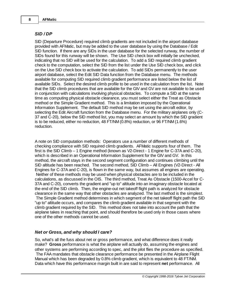### *SID / DP*

SID (Departure Procedure) required climb gradients are not included in the airport database provided with AFMatic, but may be added to the user database by using the Database / Edit SID function. If there are any SIDs in the user database for the selected runway, the number of SIDs found for this runway will be shown. The Use SID check box will initially be unchecked, indicating that no SID will be used for the calculation. To add a SID required climb gradient check to the computation, select the SID from the list under the Use SID check box, and click on the Use SID check box to activate the calculation. To add SIDs permanently to the user airport database, select the Edit SID Data function from the Database menu. The methods available for computing SID required climb gradient performance are listed below the list of available SIDs. Select the desired climb profile to be used in the calculation from the list. Note that the SID climb procedures that are available for the GIV and GV are not available to be used in conjunction with calculations involving physical obstacles. To compute a SID at the same time as computing physical obstacle clearance, you must select either the Treat as Obstacle method or the Simple Gradient method. This is a limitation imposed by the Operational Information Supplement. The default SID method may be set using the aircraft editor, by selecting the Edit Aircraft function from the Database menu. For the military airplanes only (C-37 and C-20), below the SID method list, you may select an amount by which the SID gradient is to be reduced, either no reduction, 48 FT/NM (0.8%) reduction, or 96 FT/NM (1.6%) reduction.

A note on SID computation methods: Operators use a number of different methods of checking compliance with SID required climb gradients. AFMatic supports four of them. The first is the SID Climb – 1 Engine method (known as V2-Direct - 1 Engine for C-37A and C-20), which is described in an Operational Information Supplement for the GIV and GV. In this method, the aircraft stays in the second segment configuration and continues climbing until the SID altitude has been reached. The second method, SID Climb – All Engines (V2-Direct - All Engines for C-37A and C-20), is flown in the same way, but assumes all engines are operating. Neither of these methods may be used when physical obstacles are to be included in the calculations, as discussed in the OIS. The third method, Treat As Obstacle (1500-Accel for C-37A and C-20), converts the gradient and "up to" altitude into an imaginary obstacle located at the end of the SID climb. Then, the engine-out net takeoff flight path is analyzed for obstacle clearance in the same way that other obstacles are analyzed. The last method is the simplest. The Simple Gradient method determines in which segment of the net takeoff flight path the SID "up to" altitude occurs, and compares the climb gradient available in that segment with the climb gradient required by the SID. This method does not take into account the path that the airplane takes in reaching that point, and should therefore be used only in those cases where one of the other methods cannot be used.

### *Net or Gross, and why should I care?*

So, what's all the fuss about net or gross performance, and what difference does it really make? **Gross** performance is what the airplane will actually do, assuming the engines and other systems are performing according to spec, and the pilot flies the procedure as specified. The FAA mandates that obstacle clearance performance be presented in the Airplane Flight Manual which has been degraded by 0.8% climb gradient, which is equivalent to 48 FT/NM. Data which have this performance margin built in are said to represent **net** performance. All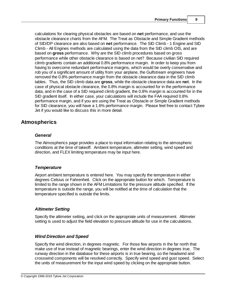calculations for clearing physical obstacles are based on **net** performance, and use the obstacle clearance charts from the AFM. The Treat as Obstacle and Simple Gradient methods of SID/DP clearance are also based on **net** performance. The SID Climb - 1 Engine and SID Climb - All Engines methods are calculated using the data from the SID climb OIS, and are based on **gross** performance. Why are the SID climb procedures based on gross performance while other obstacle clearance is based on net? Because civilian SID required climb gradients contain an additional 0.8% performance margin. In order to keep you from having to overcome redundant performance margins, which would be overly conservative and rob you of a significant amount of utility from your airplane, the Gulfstream engineers have removed the 0.8% performance margin from the obstacle clearance data in the SID climb tables. Thus, the SID climb data are **gross**, while the obstacle clearance data are **net**. In the case of physical obstacle clearance, the 0.8% margin is accounted for in the performance data, and in the case of a SID required climb gradient, the 0.8% margin is accounted for in the SID gradient itself. In either case, your calculations will include the FAA required 0.8% performance margin, and if you are using the Treat as Obstacle or Simple Gradient methods for SID clearance, you will have a 1.6% performance margin. Please feel free to contact Tybee Jet if you would like to discuss this in more detail.

# **Atmospherics**

### *General*

The Atmospherics page provides a place to input information relating to the atmospheric conditions at the time of takeoff. Ambient temperature, altimeter setting, wind speed and direction, and FLEX limiting temperature may be input here.

# *Temperature*

Airport ambient temperature is entered here. You may specify the temperature in either degrees Celsius or Fahrenheit. Click on the appropriate button for which. Temperature is limited to the range shown in the AFM Limitations for the pressure altitude specified. If the temperature is outside the range, you will be notified at the time of calculation that the temperature specified is outside the limits.

# *Altimeter Setting*

Specify the altimeter setting, and click on the appropriate units of measurement. Altimeter setting is used to adjust the field elevation to pressure altitude for use in the calculations.

# *Wind Direction and Speed*

Specify the wind direction, in degrees magnetic. For those few airports in the far north that make use of true instead of magnetic bearings, enter the wind direction in degrees true. The runway direction in the database for these airports is in true bearing, so the headwind and crosswind components will be resolved correctly. Specify wind speed and gust speed. Select the units of measurement for the input wind speed by clicking on the appropriate button.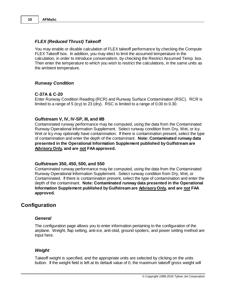### *FLEX (Reduced Thrust) Takeoff*

You may enable or disable calculation of FLEX takeoff performance by checking the Compute FLEX Takeoff box. In addition, you may elect to limit the assumed temperature in the calculation, in order to introduce conservatism, by checking the Restrict Assumed Temp. box. Then enter the temperature to which you wish to restrict the calculations, in the same units as the ambient temperature.

#### *Runway Condition*

### **C-37A & C-20**

Enter Runway Condition Reading (RCR) and Runway Surface Contamination (RSC). RCR is limited to a range of 5 (icy) to 23 (dry). RSC is limited to a range of 0.00 to 0.30.

#### **Gulfstream V, IV, IV-SP, III, and IIB**

Contaminated runway performance may be computed, using the data from the Contaminated Runway Operational Information Supplement. Select runway condition from Dry, Wet, or Icy. Wet or Icy may optionally have contamination. If there is contamination present, select the type of contamination and enter the depth of the contaminant. **Note: Contaminated runway data presented in the Operational Information Supplement published by Gulfstream are Advisory Only, and are not FAA approved.**

#### **Gulfstream 350, 450, 500, and 550**

Contaminated runway performance may be computed, using the data from the Contaminated Runway Operational Information Supplement. Select runway condition from Dry, Wet, or Contaminated. If there is contamination present, select the type of contamination and enter the depth of the contaminant. **Note: Contaminated runway data presented in the Operational Information Supplement published by Gulfstream are Advisory Only, and are not FAA approved.**

# **Configuration**

### *General*

The configuration page allows you to enter information pertaining to the configuration of the airplane. Weight, flap setting, anti-ice, anti-skid, ground spoilers, and power setting method are input here.

### *Weight*

Takeoff weight is specified, and the appropriate units are selected by clicking on the units button. If the weight field is left at its default value of 0, the maximum takeoff gross weight will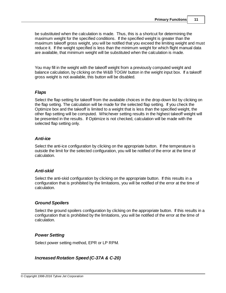be substituted when the calculation is made. Thus, this is a shortcut for determining the maximum weight for the specified conditions. If the specified weight is greater than the maximum takeoff gross weight, you will be notified that you exceed the limiting weight and must reduce it. If the weight specified is less than the minimum weight for which flight manual data are available, that minimum weight will be substituted when the calculation is made.

You may fill in the weight with the takeoff weight from a previously computed weight and balance calculation, by clicking on the W&B TOGW button in the weight input box. If a takeoff gross weight is not available, this button will be disabled.

### *Flaps*

Select the flap setting for takeoff from the available choices in the drop-down list by clicking on the flap setting. The calculation will be made for the selected flap setting. If you check the Optimize box and the takeoff is limited to a weight that is less than the specified weight, the other flap setting will be computed. Whichever setting results in the highest takeoff weight will be presented in the results. If Optimize is not checked, calculation will be made with the selected flap setting only.

### *Anti-ice*

Select the anti-ice configuration by clicking on the appropriate button. If the temperature is outside the limit for the selected configuration, you will be notified of the error at the time of calculation.

# *Anti-skid*

Select the anti-skid configuration by clicking on the appropriate button. If this results in a configuration that is prohibited by the limitations, you will be notified of the error at the time of calculation.

# *Ground Spoilers*

Select the ground spoilers configuration by clicking on the appropriate button. If this results in a configuration that is prohibited by the limitations, you will be notified of the error at the time of calculation.

# *Power Setting*

Select power setting method, EPR or LP RPM.

# *Increased Rotation Speed (C-37A & C-20)*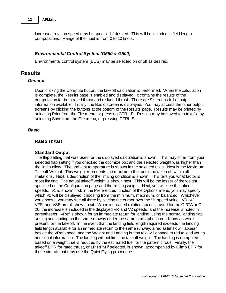Increased rotation speed may be specified if desired. This will be included in field length computations. Range of the input is from 0 to 10 knots.

### *Environmental Control System (G550 & G500)*

Environmental control system (ECS) may be selected on or off as desired.

# **Results**

#### *General*

Upon clicking the Compute button, the takeoff calculation is performed. When the calculation is complete, the Results page is enabled and displayed. It contains the results of the computation for both rated thrust and reduced thrust. There are 9 screens full of output information available. Initially, the Basic screen is displayed. You may access the other output screens by clicking the buttons at the bottom of the Results page. Results may be printed by selecting Print from the File menu, or pressing CTRL-P. Results may be saved to a text file by selecting Save from the File menu, or pressing CTRL-S.

### *Basic*

### *Rated Thrust*

### **Standard Output**

The flap setting that was used for the displayed calculation is shown. This may differ from your selected flap setting if you checked the optimize box and the selected weight was higher than the limits allow. The ambient temperature is shown in the selected units. Next is the Maximum Takeoff Weight. This weight represents the maximum that could be taken off within all limitations. Next, a description of the limiting condition is shown. This tells you what factor is most limiting. The actual takeoff weight is shown next. This will be the lesser of the weight specified on the Configuration page and the limiting weight. Next, you will see the takeoff speeds. V1 is shown first. In the Preferences function of the Options menu, you may specify which V1 will be displayed, choosing from the minimum, maximum, or balanced. Whichever you choose, you may see all three by placing the cursor over the V1 speed value. VR, V2, VFS, and VSE are all shown next. When increased rotation speed is used for the C-37A or C-20, the increase is included in the displayed VR and V2 speeds, and the increase is noted in parentheses. VRef is shown for an immediate return for landing, using the normal landing flap setting and landing on the same runway under the same atmospheric conditions as were present for the takeoff. In the event that the landing field length required exceeds the landing field length available for an immediate return to the same runway, a red asterisk will appear beside the VRef speed, and the Weight and Landing button text will change to red to lead you to additional information. The landing will not limit the takeoff weight. The landing is computed based on a weight that is reduced by the estimated fuel for the pattern circuit. Finally, the takeoff EPR for rated thrust, or LP RPM if selected, is shown, accompanied by Climb EPR for those aircraft that may use the Quiet Flying procedures.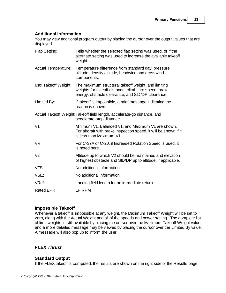### **Additional Information**

You may view additional program output by placing the cursor over the output values that are displayed.

| Flap Setting:                                                                                         | Tells whether the selected flap setting was used, or if the<br>alternate setting was used to increase the available takeoff<br>weight.                             |  |
|-------------------------------------------------------------------------------------------------------|--------------------------------------------------------------------------------------------------------------------------------------------------------------------|--|
| <b>Actual Temperature:</b>                                                                            | Temperature difference from standard day, pressure<br>altitude, density altitude, headwind and crosswind<br>components.                                            |  |
| Max Takeoff Weight:                                                                                   | The maximum structural takeoff weight, and limiting<br>weights for takeoff distance, climb, tire speed, brake<br>energy, obstacle clearance, and SID/DP clearance. |  |
| Limited By:                                                                                           | If takeoff is impossible, a brief message indicating the<br>reason is shown.                                                                                       |  |
| Actual Takeoff Weight: Takeoff field length, accelerate-go distance, and<br>accelerate-stop distance. |                                                                                                                                                                    |  |
| $V1$ :                                                                                                | Minimum V1, Balanced V1, and Maximum V1 are shown.<br>For aircraft with brake inspection speed, it will be shown if it<br>is less than Maximum V1.                 |  |
| VR:                                                                                                   | For C-37A or C-20, if Increased Rotation Speed is used, it<br>is noted here.                                                                                       |  |
| V2:                                                                                                   | Altitude up to which V2 should be maintained and elevation<br>of highest obstacle and SID/DP up to altitude, if applicable.                                        |  |
| VFS:                                                                                                  | No additional information.                                                                                                                                         |  |
| VSE:                                                                                                  | No additional information.                                                                                                                                         |  |
| VRef:                                                                                                 | Landing field length for an immediate return.                                                                                                                      |  |
| Rated EPR:                                                                                            | LP RPM.                                                                                                                                                            |  |

# **Impossible Takeoff**

Whenever a takeoff is impossible at any weight, the Maximum Takeoff Weight will be set to zero, along with the Actual Weight and all of the speeds and power setting. The complete list of limit weights is still available by placing the cursor over the Maximum Takeoff Weight value, and a more detailed message may be viewed by placing the cursor over the Limited By value. A message will also pop up to inform the user.

# *FLEX Thrust*

# **Standard Output**

If the FLEX takeoff is computed, the results are shown on the right side of the Results page.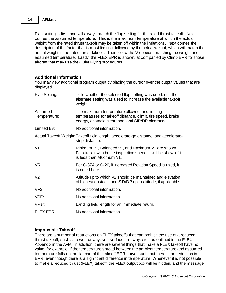Flap setting is first, and will always match the flap setting for the rated thrust takeoff. Next comes the assumed temperature. This is the maximum temperature at which the actual weight from the rated thrust takeoff may be taken off within the limitations. Next comes the description of the factor that is most limiting, followed by the actual weight, which will match the actual weight in the rated thrust takeoff. Then follow the V-speeds, matching the weight and assumed temperature. Lastly, the FLEX EPR is shown, accompanied by Climb EPR for those aircraft that may use the Quiet Flying procedures.

### **Additional Information**

You may view additional program output by placing the cursor over the output values that are displayed.

| Flap Setting:           | Tells whether the selected flap setting was used, or if the<br>alternate setting was used to increase the available takeoff<br>weight.                            |
|-------------------------|-------------------------------------------------------------------------------------------------------------------------------------------------------------------|
| Assumed<br>Temperature: | The maximum temperature allowed, and limiting<br>temperatures for takeoff distance, climb, tire speed, brake<br>energy, obstacle clearance, and SID/DP clearance. |
| Limited By:             | No additional information.                                                                                                                                        |
|                         | Actual Takeoff Weight: Takeoff field length, accelerate-go distance, and accelerate-<br>stop distance.                                                            |
| $V1$ :                  | Minimum V1, Balanced V1, and Maximum V1 are shown.<br>For aircraft with brake inspection speed, it will be shown if it<br>is less than Maximum V1.                |
| VR:                     | For C-37A or C-20, if Increased Rotation Speed is used, it<br>is noted here.                                                                                      |
| V2:                     | Altitude up to which V2 should be maintained and elevation<br>of highest obstacle and SID/DP up to altitude, if applicable.                                       |
| VFS:                    | No additional information.                                                                                                                                        |
| VSE:                    | No additional information.                                                                                                                                        |
| VRef:                   | Landing field length for an immediate return.                                                                                                                     |
| <b>FLEX EPR:</b>        | No additional information.                                                                                                                                        |

### **Impossible Takeoff**

There are a number of restrictions on FLEX takeoffs that can prohibit the use of a reduced thrust takeoff, such as a wet runway, soft-surfaced runway, etc., as outlined in the FLEX Appendix in the AFM. In addition, there are several things that make a FLEX takeoff have no value, for example, if the temperature spread between the ambient temperature and assumed temperature falls on the flat part of the takeoff EPR curve, such that there is no reduction in EPR, even though there is a significant difference in temperature. Whenever it is not possible to make a reduced thrust (FLEX) takeoff, the FLEX output box will be hidden, and the message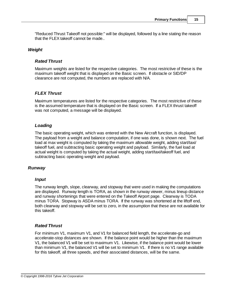"Reduced Thrust Takeoff not possible:" will be displayed, followed by a line stating the reason that the FLEX takeoff cannot be made..

### *Weight*

### *Rated Thrust*

Maximum weights are listed for the respective categories. The most restrictive of these is the maximum takeoff weight that is displayed on the Basic screen. If obstacle or SID/DP clearance are not computed, the numbers are replaced with N/A.

# *FLEX Thrust*

Maximum temperatures are listed for the respective categories. The most restrictive of these is the assumed temperature that is displayed on the Basic screen. If a FLEX thrust takeoff was not computed, a message will be displayed.

### *Loading*

The basic operating weight, which was entered with the New Aircraft function, is displayed. The payload from a weight and balance computation, if one was done, is shown next. The fuel load at max weight is computed by taking the maximum allowable weight, adding start/taxi/ takeoff fuel, and subtracting basic operating weight and payload. Similarly, the fuel load at actual weight is computed by taking the actual weight, adding start/taxi/takeoff fuel, and subtracting basic operating weight and payload.

# *Runway*

# *Input*

The runway length, slope, clearway, and stopway that were used in making the computations are displayed. Runway length is TORA, as shown in the runway viewer, minus lineup distance and runway shortenings that were entered on the Takeoff Airport page. Clearway is TODA minus TORA. Stopway is ASDA minus TORA. If the runway was shortened at the liftoff end, both clearway and stopway will be set to zero, in the assumption that these are not available for this takeoff.

# *Rated Thrust*

For minimum V1, maximum V1, and V1 for balanced field length, the accelerate-go and accelerate-stop distances are shown. If the balance point would be higher than the maximum V1, the balanced V1 will be set to maximum V1. Likewise, if the balance point would be lower than minimum V1, the balanced V1 will be set to minimum V1. If there is no V1 range available for this takeoff, all three speeds, and their associated distances, will be the same.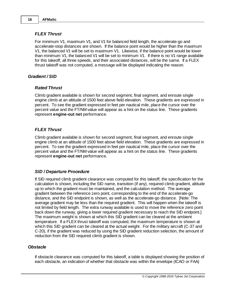### *FLEX Thrust*

For minimum V1, maximum V1, and V1 for balanced field length, the accelerate-go and accelerate-stop distances are shown. If the balance point would be higher than the maximum V1, the balanced V1 will be set to maximum V1. Likewise, if the balance point would be lower than minimum V1, the balanced V1 will be set to minimum V1. If there is no V1 range available for this takeoff, all three speeds, and their associated distances, will be the same. If a FLEX thrust takeoff was not computed, a message will be displayed indicating the reason.

### *Gradient / SID*

### *Rated Thrust*

Climb gradient available is shown for second segment, final segment, and enroute single engine climb at an altitude of 1500 feet above field elevation. These gradients are expressed in percent. To see the gradient expressed in feet per nautical mile, place the cursor over the percent value and the FT/NM value will appear as a hint on the status line. These gradients represent **engine-out net** performance.

# *FLEX Thrust*

Climb gradient available is shown for second segment, final segment, and enroute single engine climb at an altitude of 1500 feet above field elevation. These gradients are expressed in percent. To see the gradient expressed in feet per nautical mile, place the cursor over the percent value and the FT/NM value will appear as a hint on the status line. These gradients represent **engine-out net** performance.

### *SID / Departure Procedure*

If SID required climb gradient clearance was computed for this takeoff, the specification for the calculation is shown, including the SID name, transition (if any), required climb gradient, altitude up to which the gradient must be maintained, and the calculation method. The average gradient between the reference zero point, corresponding to the end of the accelerate-go distance, and the SID endpoint is shown, as well as the accelerate-go distance. [Note: The average gradient may be less than the required gradient. This will happen when the takeoff is not limited by field length. The extra runway available is used to move the reference zero point back down the runway, giving a lower required gradient necessary to reach the SID endpoint.] The maximum weight is shown at which this SID gradient can be cleared at the ambient temperature. If a FLEX thrust takeoff was computed, the maximum temperature is shown at which this SID gradient can be cleared at the actual weight. For the military aircraft (C-37 and C-20), if the gradient was reduced by using the SID gradient reduction selection, the amount of reduction from the SID required climb gradient is shown.

### *Obstacle*

If obstacle clearance was computed for this takeoff, a table is displayed showing the position of each obstacle, an indication of whether that obstacle was within the envelope (ICAO or FAA)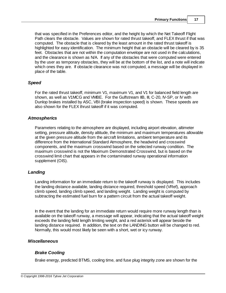that was specified in the Preferences editor, and the height by which the Net Takeoff Flight Path clears the obstacle. Values are shown for rated thrust takeoff, and FLEX thrust if that was computed. The obstacle that is cleared by the least amount in the rated thrust takeoff is highlighted for easy identification. The minimum height that an obstacle will be cleared by is 35 feet. Obstacles that are not within the computation envelope are not used in the calculations, and the clearance is shown as N/A. If any of the obstacles that were computed were entered by the user as temporary obstacles, they will be at the bottom of the list, and a note will indicate which ones they are. If obstacle clearance was not computed, a message will be displayed in place of the table.

### *Speed*

For the rated thrust takeoff, minimum V1, maximum V1, and V1 for balanced field length are shown, as well as V1MCG and VMBE. For the Gulfstream IIB, III, C-20, IV-SP, or IV with Dunlop brakes installed by ASC, VBI (brake inspection speed) is shown. These speeds are also shown for the FLEX thrust takeoff if it was computed.

### *Atmospherics*

Parameters relating to the atmosphere are displayed, including airport elevation, altimeter setting, pressure altitude, density altitude, the minimum and maximum temperatures allowable at the given pressure altitude from the aircraft limitations, ambient temperature and its difference from the International Standard Atmosphere, the headwind and crosswind components, and the maximum crosswind based on the selected runway condition. The maximum crosswind is not the Maximum Demonstrated Crosswind, but is based on the crosswind limit chart that appears in the contaminated runway operational information supplement (OIS).

# *Landing*

Landing information for an immediate return to the takeoff runway is displayed. This includes the landing distance available, landing distance required, threshold speed (VRef), approach climb speed, landing climb speed, and landing weight. Landing weight is computed by subtracting the estimated fuel burn for a pattern circuit from the actual takeoff weight.

In the event that the landing for an immediate return would require more runway length than is available on the takeoff runway, a message will appear, indicating that the actual takeoff weight exceeds the landing field length limiting weight, and a red asterisk will appear beside the landing distance required. In addition, the text on the LANDING button will be changed to red. Normally, this would most likely be seen with a short, wet or icy runway.

# *Miscellaneous*

# *Brake Cooling*

Brake energy, predicted BTMS, cooling time, and fuse plug integrity zone are shown for the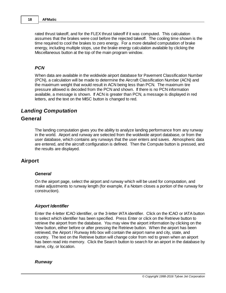rated thrust takeoff, and for the FLEX thrust takeoff if it was computed. This calculation assumes that the brakes were cool before the rejected takeoff. The cooling time shown is the time required to cool the brakes to zero energy. For a more detailed computation of brake energy, including multiple stops, use the brake energy calculation available by clicking the Miscellaneous button at the top of the main program window.

### *PCN*

When data are available in the woldwide airport database for Pavement Classification Number (PCN), a calculation will be made to determine the Aircraft Classification Number (ACN) and the maximum weight that would result in ACN being less than PCN. The maximum tire pressure allowed is decoded from the PCN and shown. If there is no PCN information available, a message is shown. If ACN is greater than PCN, a message is displayed in red letters, and the text on the MISC button is changed to red.

# *Landing Computation*

# **General**

The landing computation gives you the ability to analyze landing performance from any runway in the world. Airport and runway are selected from the woldwide airport database, or from the user database, which contains any runways that the user enters and saves. Atmospheric data are entered, and the aircraft configuration is defined. Then the Compute button is pressed, and the results are displayed.

# **Airport**

### *General*

On the airport page, select the airport and runway which will be used for computation, and make adjustments to runway length (for example, if a Notam closes a portion of the runway for construction).

### *Airport Identifier*

Enter the 4-letter ICAO identifier, or the 3-letter IATA identifier. Click on the ICAO or IATA button to select which identifier has been specified. Press Enter or click on the Retrieve button to retrieve the airport from the database. You may view the airport information by clicking on the View button, either before or after pressing the Retrieve button. When the airport has been retrieved, the Airport / Runway Info box will contain the airport name and city, state, and country. The text on the Retrieve button will change color from red to green when an airport has been read into memory. Click the Search button to search for an airport in the database by name, city, or location.

### *Runway*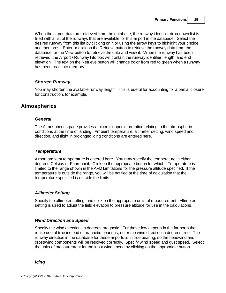When the airport data are retrieved from the database, the runway identifier drop-down list is filled with a list of the runways that are available for this airport in the database. Select the desired runway from this list by clicking on it or using the arrow keys to highlight your choice, and then press Enter or click on the Retrieve button to retrieve the runway data from the database, or the View button to retrieve the data and view it. When the runway has been retrieved, the Airport / Runway Info box will contain the runway identifier, length, and end elevation. The text on the Retrieve button will change color from red to green when a runway has been read into memory.

# *Shorten Runway*

You may shorten the available runway length. This is useful for accounting for a partial closure for construction, for example.

# **Atmospherics**

### *General*

The Atmospherics page provides a place to input information relating to the atmospheric conditions at the time of landing. Ambient temperature, altimeter setting, wind speed and direction, and flight in prolonged icing conditions are entered here.

### *Temperature*

Airport ambient temperature is entered here. You may specify the temperature in either degrees Celsius or Fahrenheit. Click on the appropriate button for which. Temperature is limited to the range shown in the AFM Limitations for the pressure altitude specified. If the temperature is outside the range, you will be notified at the time of calculation that the temperature specified is outside the limits.

### *Altimeter Setting*

Specify the altimeter setting, and click on the appropriate units of measurement. Altimeter setting is used to adjust the field elevation to pressure altitude for use in the calculations.

### *Wind Direction and Speed*

Specify the wind direction, in degrees magnetic. For those few airports in the far north that make use of true instead of magnetic bearings, enter the wind direction in degrees true. The runway direction in the database for these airports is in true bearing, so the headwind and crosswind components will be resolved correctly. Specify wind speed and gust speed. Select the units of measurement for the input wind speed by clicking on the appropriate button.

*Icing*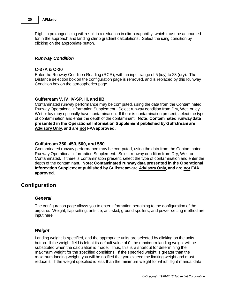Flight in prolonged icing will result in a reduction in climb capability, which must be accounted for in the approach and landing climb gradient calculations. Select the icing condition by clicking on the appropriate button.

#### *Runway Condition*

### **C-37A & C-20**

Enter the Runway Condition Reading (RCR), with an input range of 5 (icy) to 23 (dry). The Distance selection box on the configuration page is removed, and is replaced by this Runway Condition box on the atmospherics page.

### **Gulfstream V, IV, IV-SP, III, and IIB**

Contaminated runway performance may be computed, using the data from the Contaminated Runway Operational Information Supplement. Select runway condition from Dry, Wet, or Icy. Wet or Icy may optionally have contamination. If there is contamination present, select the type of contamination and enter the depth of the contaminant. **Note: Contaminated runway data presented in the Operational Information Supplement published by Gulfstream are Advisory Only, and are not FAA approved.**

#### **Gulfstream 350, 450, 500, and 550**

Contaminated runway performance may be computed, using the data from the Contaminated Runway Operational Information Supplement. Select runway condition from Dry, Wet, or Contaminated. If there is contamination present, select the type of contamination and enter the depth of the contaminant. **Note: Contaminated runway data presented in the Operational Information Supplement published by Gulfstream are Advisory Only, and are not FAA approved.**

# **Configuration**

#### *General*

The configuration page allows you to enter information pertaining to the configuration of the airplane. Weight, flap setting, anti-ice, anti-skid, ground spoilers, and power setting method are input here.

### *Weight*

Landing weight is specified, and the appropriate units are selected by clicking on the units button. If the weight field is left at its default value of 0, the maximum landing weight will be substituted when the calculation is made. Thus, this is a shortcut for determining the maximum weight for the specified conditions. If the specified weight is greater than the maximum landing weight, you will be notified that you exceed the limiting weight and must reduce it. If the weight specified is less than the minimum weight for which flight manual data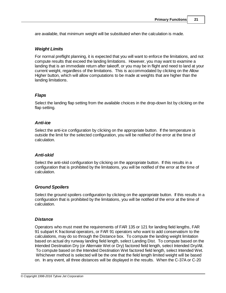are available, that minimum weight will be substituted when the calculation is made.

# *Weight Limits*

For normal preflight planning, it is expected that you will want to enforce the limitations, and not compute results that exceed the landing limitations. However, you may want to examine a landing that is an immediate return after takeoff, or you may be in flight and need to land at your current weight, regardless of the limitations. This is accommodated by clicking on the Allow Higher button, which will allow computations to be made at weights that are higher than the landing limitations.

### *Flaps*

Select the landing flap setting from the available choices in the drop-down list by clicking on the flap setting.

### *Anti-ice*

Select the anti-ice configuration by clicking on the appropriate button. If the temperature is outside the limit for the selected configuration, you will be notified of the error at the time of calculation.

# *Anti-skid*

Select the anti-skid configuration by clicking on the appropriate button. If this results in a configuration that is prohibited by the limitations, you will be notified of the error at the time of calculation.

# *Ground Spoilers*

Select the ground spoilers configuration by clicking on the appropriate button. If this results in a configuration that is prohibited by the limitations, you will be notified of the error at the time of calculation.

# *Distance*

Operators who must meet the requirements of FAR 135 or 121 for landing field lengths, FAR 91 subpart K fractional operators, or FAR 91 operators who want to add conservatism to the calculations, may do so through the Distance box. To compute the landing weight limitation based on actual dry runway landing field length, select Landing Dist. To compute based on the Intended Destination Dry (or Alternate Wet or Dry) factored field length, select Intended Dry/Alt. To compute based on the Intended Destination Wet factored field length, select Intended Wet. Whichever method is selected will be the one that the field length limited weight will be based on. In any event, all three distances will be displayed in the results. When the C-37A or C-20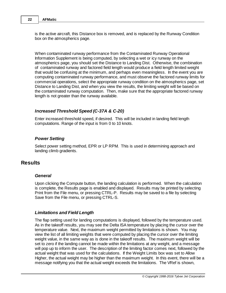is the active aircraft, this Distance box is removed, and is replaced by the Runway Condition box on the atmospherics page.

When contaminated runway performance from the Contaminated Runway Operational Information Supplement is being computed, by selecting a wet or icy runway on the atmospherics page, you should set the Distance to Landing Dist. Otherwise, the combination of contaminated runway and factored field length would produce a field length limited weight that would be confusing at the minimum, and perhaps even meaningless. In the event you are computing contaminated runway performance, and must observe the factored runway limits for commercial operations, select the appropriate runway condition on the atmospherics page, set Distance to Landing Dist, and when you view the results, the limiting weight will be based on the contaminated runway computation. Then, make sure that the appropriate factored runway length is not greater than the runway available.

### *Increased Threshold Speed (C-37A & C-20)*

Enter increased threshold speed, if desired. This will be included in landing field length computations. Range of the input is from 0 to 10 knots.

### *Power Setting*

Select power setting method, EPR or LP RPM. This is used in determining approach and landing climb gradients.

# **Results**

### *General*

Upon clicking the Compute button, the landing calculation is performed. When the calculation is complete, the Results page is enabled and displayed. Results may be printed by selecting Print from the File menu, or pressing CTRL-P. Results may be saved to a file by selecting Save from the File menu, or pressing CTRL-S.

### *Limitations and Field Length*

The flap setting used for landing computations is displayed, followed by the temperature used. As in the takeoff results, you may see the Delta ISA temperature by placing the cursor over the temperature value. Next, the maximum weight permitted by limitations is shown. You may view the list of all limiting weights that were computed by placing the cursor over the limiting weight value, in the same way as is done in the takeoff results. The maximum weight will be set to zero if the landing cannot be made within the limitations at any weight, and a message will pop up to inform the user. The description of the limiting factor comes next, followed by the actual weight that was used for the calculations. If the Weight Limits box was set to Allow Higher, the actual weight may be higher than the maximum weight. In this event, there will be a message notifying you that the actual weight exceeds the limitations. The VRef is shown,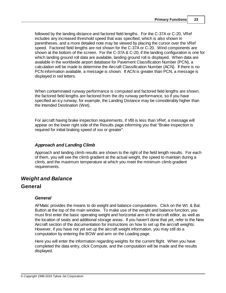followed by the landing distance and factored field lengths. For the C-37A or C-20, VRef includes any increased threshold speed that was specified, which is also shown in parentheses, and a more detailed note may be viewed by placing the cursor over the VRef speed. Factored field lengths are not shown for the C-37A or C-20. Wind components are shown at the bottom of the screen. For the C-37A & C-20, if the landing configuration is one for which landing ground roll data are available, landing ground roll is displayed. When data are available in the worldwide airport database for Pavement Classification Number (PCN), a calculation will be made to determine the Aircraft Classification Number (ACN). If there is no PCN information available, a message is shown. If ACN is greater than PCN, a message is displayed in red letters.

When contaminated runway performance is computed and factored field lengths are shown, the factored field lengths are factored from the dry runway performance, so if you have specified an icy runway, for example, the Landing Distance may be considerably higher than the Intended Destination (Wet).

For aircraft having brake inspection requirements, if VBI is less than VRef, a message will appear on the lower right side of the Results page informing you that "Brake inspection is required for initial braking speed of xxx or greater".

### *Approach and Landing Climb*

Approach and landing climb results are shown to the right of the field length results. For each of them, you will see the climb gradient at the actual weight, the speed to maintain during a climb, and the maximum temperature at which you meet the minimum climb gradient requirements.

# *Weight and Balance*

# **General**

# *General*

AFMatic provides the means to do weight and balance computations. Click on the Wt. & Bal. Button at the top of the main window. To make use of the weight and balance function, you must first enter the basic operating weight and horizontal arm in the aircraft editor, as well as the location of seats and additional storage areas. If you haven't done that yet, refer to the New Aircraft section of the documentation for instructions on how to set up the aircraft weights. However, if you have not yet set up the aircraft weight information, you may still do a computation by entering the BOW and arm on the Loading page.

Here you will enter the information regarding weights for the current flight. When you have completed the data entry, click Compute, and the computation will be made and the results displayed.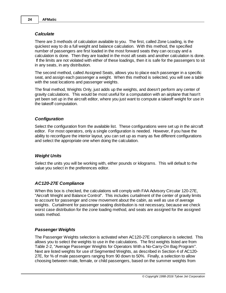### *Calculate*

There are 3 methods of calculation available to you. The first, called Zone Loading, is the quickest way to do a full weight and balance calculation. With this method, the specified number of passengers are first loaded in the most forward seats they can occupy and a calculation is done. Then they are loaded in the most aft seats and another calculation is done. If the limits are not violated with either of these loadings, then it is safe for the passengers to sit in any seats, in any distribution.

The second method, called Assigned Seats, allows you to place each passenger in a specific seat, and assign each passenger a weight. When this method is selected, you will see a table with the seat locations and passenger weights.

The final method, Weights Only, just adds up the weights, and doesn't perform any center of gravity calculations. This would be most useful for a computation with an airplane that hasn't yet been set up in the aircraft editor, where you just want to compute a takeoff weight for use in the takeoff computation.

### *Configuration*

Select the configuration from the available list. These configurations were set up in the aircraft editor. For most operators, only a single configuration is needed. However, if you have the ability to reconfigure the interior layout, you can set up as many as five different configurations and select the appropriate one when doing the calculation.

### *Weight Units*

Select the units you will be working with, either pounds or kilograms. This will default to the value you select in the preferences editor.

### *AC120-27E Compliance*

When this box is checked, the calculations will comply with FAA Advisory Circular 120-27E, "Aircraft Weight and Balance Control". This includes curtailment of the center of gravity limits to account for passenger and crew movement about the cabin, as well as use of average weights. Curtailment for passenger seating distribution is not necessary, because we check worst case distribution for the zone loading method, and seats are assigned for the assigned seats method.

### *Passenger Weights*

The Passenger Weights selection is activated when AC120-27E compliance is selected. This allows you to select the weights to use in the calculations. The first weights listed are from Table 2-2, "Average Passenger Weights for Operators With a No-Carry-On Bag Program". Next are listed weights for use of Segmented Weights, as described in Section 4 of AC120- 27E, for % of male passengers ranging from 90 down to 50%. Finally, a selection to allow choosing between male, female, or child passengers, based on the summer weights from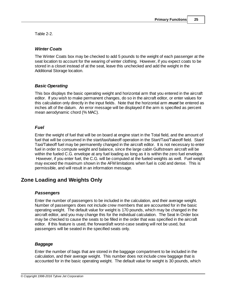Table 2-2.

# *Winter Coats*

The Winter Coats box may be checked to add 5 pounds to the weight of each passenger at the seat location to account for the wearing of winter clothing. However, if you expect coats to be stored in a closet instead of at the seat, leave this unchecked and add the weight in the Additional Storage location.

# *Basic Operating*

This box displays the basic operating weight and horizontal arm that you entered in the aircraft editor. If you wish to make permanent changes, do so in the aircraft editor, or enter values for this calculation only directly in the input fields. Note that the horizontal arm *must* be entered as inches aft of the datum. An error message will be displayed if the arm is specified as percent mean aerodynamic chord (% MAC).

# *Fuel*

Enter the weight of fuel that will be on board at engine start in the Total field, and the amount of fuel that will be consumed in the start/taxi/takeoff operation in the Start/Taxi/Takeoff field. Start/ Taxi/Takeoff fuel may be permanently changed in the aircraft editor. It is not necessary to enter fuel in order to compute weight and balance, since the large cabin Gulfstream aircraft will be within the fueled C.G. envelope at any fuel loading as long as it is within the zero fuel envelope. However, if you enter fuel, the C.G. will be computed at the fueled weights as well. Fuel weight may exceed the maximum shown in the AFM limitations when fuel is cold and dense. This is permissible, and will result in an information message.

# **Zone Loading and Weights Only**

# *Passengers*

Enter the number of passengers to be included in the calculation, and their average weight. Number of passengers does not include crew members that are accounted for in the basic operating weight. The default value for weight is 170 pounds, which may be changed in the aircraft editor, and you may change this for the individual calculation. The Seat In Order box may be checked to cause the seats to be filled in the order that was specified in the aircraft editor. If this feature is used, the forward/aft worst-case seating will not be used, but passengers will be seated in the specified seats only.

# *Baggage*

Enter the number of bags that are stored in the baggage compartment to be included in the calculation, and their average weight. This number does not include crew baggage that is accounted for in the basic operating weight. The default value for weight is 30 pounds, which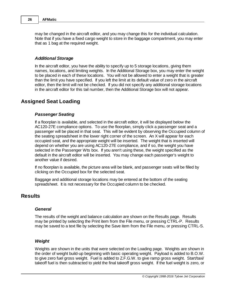may be changed in the aircraft editor, and you may change this for the individual calculation. Note that if you have a fixed cargo weight to store in the baggage compartment, you may enter that as 1 bag at the required weight.

### *Additional Storage*

In the aircraft editor, you have the ability to specify up to 5 storage locations, giving them names, locations, and limiting weights. In the Additional Storage box, you may enter the weight to be placed in each of these locations. You will not be allowed to enter a weight that is greater than the limit you have specified. If you left the limit at its default value of zero in the aircraft editor, then the limit will not be checked. If you did not specify any additional storage locations in the aircraft editor for this tail number, then the Additional Storage box will not appear.

# **Assigned Seat Loading**

### *Passenger Seating*

If a floorplan is available, and selected in the aircraft editor, it will be displayed below the AC120-27E compliance options. To use the floorplan, simply click a passenger seat and a passenger will be placed in that seat. This will be evident by observing the Occupied column of the seating spreadsheet in the lower right corner of the screen. An X will appear for each occupied seat, and the appropriate weight will be inserted. The weight that is inserted will depend on whether you are using AC120-27E compliance, and if so, the weight you have selected in the Passenger Wts box. If you aren't using these, the weight specified as the default in the aircraft editor will be inserted. You may change each passenger's weight to another value if desired.

If no floorplan is available, the picture area will be blank, and passenger seats will be filled by clicking on the Occupied box for the selected seat.

Baggage and additional storage locations may be entered at the bottom of the seating spreadsheet. It is not necessary for the Occupied column to be checked.

# **Results**

#### *General*

The results of the weight and balance calculation are shown on the Results page. Results may be printed by selecting the Print item from the File menu, or pressing CTRL-P. Results may be saved to a text file by selecting the Save item from the File menu, or pressing CTRL-S.

### *Weight*

Weights are shown in the units that were selected on the Loading page. Weights are shown in the order of weight build-up beginning with basic operating weight. Payload is added to B.O.W. to give zero fuel gross weight. Fuel is added to Z.F.G.W. to give ramp gross weight. Start/taxi/ takeoff fuel is then subtracted to yield the final takeoff gross weight. If the fuel weight is zero, or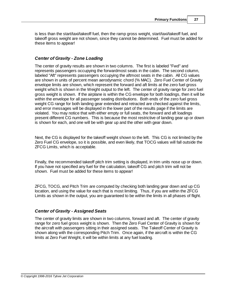is less than the start/taxi/takeoff fuel, then the ramp gross weight, start/taxi/takeoff fuel, and takeoff gross weight are not shown, since they cannot be determined. Fuel must be added for these items to appear!

### *Center of Gravity - Zone Loading*

The center of gravity results are shown in two columns. The first is labeled "Fwd" and represents passengers occupying the forwardmost seats in the cabin. The second column, labeled "Aft" represents passengers occupying the aftmost seats in the cabin. All CG values are shown in units of percent mean aerodynamic chord (% MAC). Zero Fuel Center of Gravity envelope limits are shown, which represent the forward and aft limits at the zero fuel gross weight which is shown in the Weight output to the left. The center of gravity range for zero fuel gross weight is shown. If the airplane is within the CG envelope for both loadings, then it will be within the envelope for all passenger seating distributions. Both ends of the zero fuel gross weight CG range for both landing gear extended and retracted are checked against the limits, and error messages will be displayed in the lower part of the results page if the limits are violated. You may notice that with either empty or full seats, the forward and aft loadings present different CG numbers. This is because the most restrictive of landing gear up or down is shown for each, and one will be with gear up and the other with gear down.

Next, the CG is displayed for the takeoff weight shown to the left. This CG is not limited by the Zero Fuel CG envelope, so it is possible, and even likely, that TOCG values will fall outside the ZFCG Limits, which is acceptable.

Finally, the recommended takeoff pitch trim setting is displayed, in trim units nose up or down. If you have not specified any fuel for the calculation, takeoff CG and pitch trim will not be shown. Fuel must be added for these items to appear!

ZFCG, TOCG, and Pitch Trim are computed by checking both landing gear down and up CG location, and using the value for each that is most limiting. Thus, if you are within the ZFCG Limits as shown in the output, you are guaranteed to be within the limits in all phases of flight.

### *Center of Gravity - Assigned Seats*

The center of gravity limits are shown in two columns, forward and aft. The center of gravity range for zero fuel gross weight is shown. Then the Zero Fuel Center of Gravity is shown for the aircraft with passengers sitting in their assigned seats. The Takeoff Center of Gravity is shown along with the corresponding Pitch Trim. Once again, if the aircraft is within the CG limits at Zero Fuel Weight, it will be within limits at any fuel loading.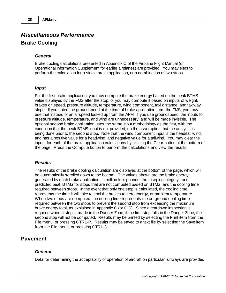# *Miscellaneous Performance* **Brake Cooling**

### *General*

Brake cooling calculations presented in Appendix C of the Airplane Flight Manual (or Operational Information Supplement for earlier airplanes) are provided. You may elect to perform the calculation for a single brake application, or a combination of two stops.

### *Input*

For the first brake application, you may compute the brake energy based on the peak BTMS value displayed by the FMS after the stop, or you may compute it based on inputs of weight, brakes on speed, pressure altitude, temperature, wind component, taxi distance, and taxiway slope. If you noted the groundspeed at the time of brake application from the FMS, you may use that instead of an airspeed looked up from the AFM. If you use groundspeed, the inputs for pressure altitude, temperature, and wind are unnecessary, and will be made invisible. The optional second brake application uses the same input methodology as the first, with the exception that the peak BTMS input is not provided, on the assumption that the analysis is being done prior to the second stop. Note that the wind component input is the head/tail wind, and has a positive value for a headwind, and negative value for a tailwind. You may clear the inputs for each of the brake application calculations by clicking the Clear button at the bottom of the page. Press the Compute button to perform the calculations and view the results.

### *Results*

The results of the brake cooling calculation are displayed at the bottom of the page, which will be automatically scrolled down to the bottom. The values shown are the brake energy generated by each brake application, in million foot-pounds, the fuseplug integrity zone, predicted peak BTMS for stops that are not computed based on BTMS, and the cooling time required between stops. In the event that only one stop is calculated, the cooling time represents the time it will take to cool the brakes to zero energy, or ambient temperature. When two stops are computed, the cooling time represents the on-ground cooling time required between the two stops to prevent the second stop from exceeding the maximum brake energy total, as explained in Appendix C (or OIS). Since a teardown inspection is required when a stop is made in the Danger Zone, if the first stop falls in the Danger Zone, the second stop will not be computed. Results may be printed by selecting the Print item from the File menu, or pressing CTRL-P. Results may be saved to a text file by selecting the Save item from the File menu, or pressing CTRL-S.

# **Pavement**

#### *General*

Data for determining the acceptability of operation of aircraft on particular runways are provided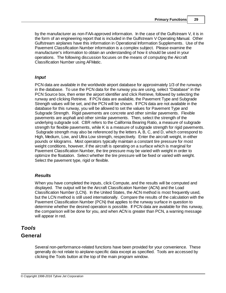by the manufacturer as non-FAA-approved information. In the case of the Gulfstream V, it is in the form of an engineering report that is included in the Gulfstream V Operating Manual. Other Gulfstream airplanes have this information in Operational Information Supplements. Use of the Pavement Classification Number information is a complex subject. Please examine the manufacturer's information to obtain an understanding of how it should be used in your operations. The following discussion focuses on the means of computing the Aircraft Classification Number using AFMatic.

### *Input*

PCN data are available in the worldwide airport database for approximately 1/3 of the runways in the database. To use the PCN data for the runway you are using, select "Database" in the PCN Source box, then enter the airport identifier and click Retrieve, followed by selecting the runway and clicking Retrieve. If PCN data are available, the Pavement Type and Subgrade Strength values will be set, and the PCN will be shown. If PCN data are not available in the database for this runway, you will be allowed to set the values for Pavement Type and Subgrade Strength. Rigid pavements are concrete and other similar pavements. Flexible pavements are asphalt and other similar pavements. Then, select the strength of the underlying subgrade soil. CBR refers to the California Bearing Ratio, a measure of subgrade strength for flexible pavements, while K is a measure of subgrade strength for rigid pavements. Subgrade strength may also be referenced by the letters A, B, C, and D, which correspond to High, Medium, Low, and Ultra Low strength, respectively. Enter the aircraft weight, in either pounds or kilograms. Most operators typically maintain a constant tire pressure for most weight conditions, however, if the aircraft is operating on a surface which is marginal for Pavement Classification Number, the tire pressure may be varied with weight in order to optimize the floatation. Select whether the tire pressure will be fixed or varied with weight. Select the pavement type, rigid or flexible.

# *Results*

When you have completed the inputs, click Compute, and the results will be computed and displayed. The output will be the Aircraft Classification Number (ACN) and the Load Classification Number (LCN). In the United States, the ACN method is most frequently used, but the LCN method is still used internationally. Compare the results of the calculation with the Pavement Classification Number (PCN) that applies to the runway surface in question to determine whether the desired operation is possible. If PCN data are available for this runway, the comparison will be done for you, and when ACN is greater than PCN, a warning message will appear in red.

# *Tools* **General**

Several non-performance-related functions have been provided for your convenience. These generally do not relate to airplane-specific data except as specified. Tools are accessed by clicking the Tools button at the top of the main program window.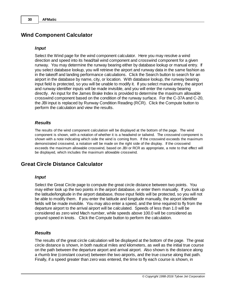# **Wind Component Calculator**

### *Input*

Select the Wind page for the wind component calculator. Here you may resolve a wind direction and speed into its head/tail wind component and crosswind component for a given runway. You may determine the runway bearing either by database lookup or manual entry. If you select database lookup, you will retrieve the airport and runway data in the same fashion as in the takeoff and landing performance calculations. Click the Search button to search for an airport in the database by name, city, or location. With database lookup, the runway bearing input field is protected, so you will be unable to modify it. If you select manual entry, the airport and runway identifier inputs will be made invisible, and you will enter the runway bearing directly. An input for the James Brake Index is provided to determine the maximum allowable crosswind component based on the condition of the runway surface. For the C-37A and C-20, the JBI input is replaced by Runway Condition Reading (RCR). Click the Compute button to perform the calculation and view the results.

### *Results*

The results of the wind component calculation will be displayed at the bottom of the page. The wind component is shown, with a notation of whether it is a headwind or tailwind. The crosswind component is shown with a note indicating which side the wind is coming from. If the crosswind exceeds the maximum demonstrated crosswind, a notation will be made on the right side of the display. If the crosswind exceeds the maximum allowable crosswind, based on JBI or RCR as appropriate, a note to that effect will be displayed, which includes the maximum allowable crosswind.

# **Great Circle Distance Calculator**

### *Input*

Select the Great Circle page to compute the great circle distance between two points. You may either look up the two points in the airport database, or enter them manually. If you look up the latitude/longitude in the airport database, those input fields will be protected, so you will not be able to modify them. If you enter the latitude and longitude manually, the airport identifier fields will be made invisible. You may also enter a speed, and the time required to fly from the departure airport to the arrival airport will be calculated. Speeds of less than 1.0 will be considered as zero wind Mach number, while speeds above 100.0 will be considered as ground speed in knots. Click the Compute button to perform the calculation.

### *Results*

The results of the great circle calculation will be displayed at the bottom of the page. The great circle distance is shown, in both nautical miles and kilometers, as well as the initial true course on the path between the departure airport and arrival airport. Also shown is the distance along a rhumb line (constant course) between the two airports, and the true course along that path. Finally, if a speed greater than zero was entered, the time to fly each course is shown, in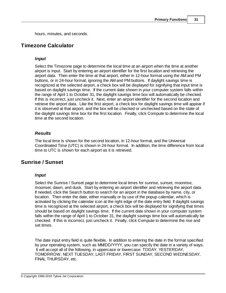hours, minutes, and seconds.

# **Timezone Calculator**

### *Input*

Select the Timezone page to determine the local time at an airport when the time at another airport is input. Start by entering an airport identifier for the first location and retrieving the airport data. Then enter the time at that airport, either in 12-hour format using the AM and PM buttons, or in 24-hour format, ignoring the AM and PM buttons. If daylight savings time is recognized at the selected airport, a check box will be displayed for signifying that input time is based on daylight savings time. If the current date shown in your computer system falls within the range of April 1 to October 31, the daylight savings time box will automatically be checked. If this is incorrect, just uncheck it. Next, enter an airport identifier for the second location and retrieve the airport data. Like the first airport, a check box for daylight savings time will appear if it is observed at that airport, and the box will be checked or unchecked based on the state of the daylight savings time box for the first location. Finally, click Compute to determine the local time at the second location.

# *Results*

The local time is shown for the second location, in 12-hour format, and the Universal Coordinated Time (UTC) is shown in 24-hour format. In addition, the time difference from local time to UTC is shown for each airport as it is retrieved.

# **Sunrise / Sunset**

# *Input*

Select the Sunrise / Sunset page to determine local times for sunrise, sunset, moonrise, moonset, dawn, and dusk. Start by entering an airport identifier and retrieving the airport data. If needed, click the Search button to search for an airport in the database by name, city, or location. Then enter the date, either manually or by use of the popup calendar, which is activated by clicking the calendar icon at the right edge of the date entry field. If daylight savings time is recognized at the selected airport, a check box will be displayed for signifying that times should be based on daylight savings time. If the current date shown in your computer system falls within the range of April 1 to October 31, the daylight savings time box will automatically be checked. If this is incorrect, just uncheck it. Finally, click Compute to determine the rise and set times.

The date input entry field is quite flexible. In addition to entering the date in the format specified by your operating system, such as MM/DD/YYYY, you can specify the date in a variety of ways. It will accept all of the following, in uppercase or lowercase: TODAY, YESTERDAY, TOMORROW, NEXT TUESDAY, LAST FRIDAY, FIRST SUNDAY, SECOND WEDNESDAY, FINAL THURSDAY, etc.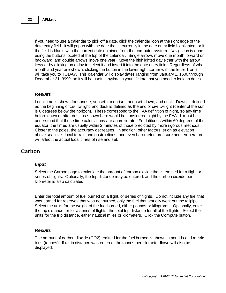If you need to use a calendar to pick off a date, click the calendar icon at the right edge of the date entry field. It will popup with the date that is currently in the date entry field highlighted, or if the field is blank, with the current date obtained from the computer system. Navigation is done using the buttons located at the top of the calendar. Single arrows move one month forward or backward, and double arrows move one year. Move the highlighted day either with the arrow keys or by clicking on a day to select it and insert it into the date entry field. Regardless of what month and year are shown, clicking the button in the lower right corner with the letter T on it, will take you to TODAY. This calendar will display dates ranging from January 1, 1600 through December 31, 3999, so it will be useful anytime in your lifetime that you need to look up dates.

### *Results*

Local time is shown for sunrise, sunset, moonrise, moonset, dawn, and dusk. Dawn is defined as the beginning of civil twilight, and dusk is defined as the end of civil twilight (center of the sun is 6 degrees below the horizon). These correspond to the FAA definition of night, so any time before dawn or after dusk as shown here would be considered night by the FAA. It must be understood that these time calculations are approximate. For latitudes within 60 degrees of the equator, the times are usually within 2 minutes of those predicted by more rigorous methods. Closer to the poles, the accuracy decreases. In addition, other factors, such as elevation above sea level, local terrain and obstructions, and even barometric pressure and temperature, will affect the actual local times of rise and set.

# **Carbon**

### *Input*

Select the Carbon page to calculate the amount of carbon dioxide that is emitted for a flight or series of flights. Optionally, the trip distance may be entered, and the carbon dioxide per kilometer is also calculated.

Enter the total amount of fuel burned on a flight, or series of flights. Do not include any fuel that was carried for reserves that was not burned, only the fuel that actually went out the tailpipe. Select the units for the weight of the fuel burned, either pounds or kilograms. Optionally, enter the trip distance, or for a series of flights, the total trip distance for all of the flights. Select the units for the trip distance, either nautical miles or kilometers. Click the Compute button.

### *Results*

The amount of carbon dioxide (CO2) emitted for the fuel burned is shown in pounds and metric tons (tonnes). If a trip distance was entered, the tonnes per kilometer flown will also be displayed.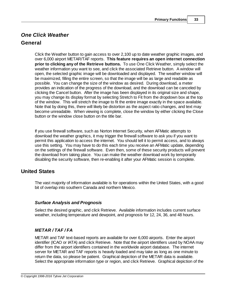# *One Click Weather* **General**

Click the Weather button to gain access to over 2,100 up to date weather graphic images, and over 6,000 airport METAR/TAF reports. **This feature requires an open internet connection prior to clicking any of the Retrieve buttons.** To use One Click Weather, simply select the weather information you want to see, and click the associated Retrieve button. A window will open, the selected graphic image will be downloaded and displayed. The weather window will be maximized, filling the entire screen, so that the image will be as large and readable as possible. You can change the size of the window as desired. During download, a meter provides an indication of the progress of the download, and the download can be canceled by clicking the Cancel button. After the image has been displayed in its original size and shape, you may change its display format by selecting Stretch to Fit from the dropdown box at the top of the window. This will stretch the image to fit the entire image exactly in the space available. Note that by doing this, there will likely be distortion as the aspect ratio changes, and text may become unreadable. When viewing is complete, close the window by either clicking the Close button or the window close button on the title bar.

If you use firewall software, such as Norton Internet Security, when AFMatic attempts to download the weather graphics, it may trigger the firewall software to ask you if you want to permit this application to access the internet. You should tell it to permit access, and to always use this setting. You may have to do this each time you receive an AFMatic update, depending on the settings of the firewall software. Even then, some of these security products will prevent the download from taking place. You can make the weather download work by temporarily disabling the security software, then re-enabling it after your AFMatic session is complete.

# **United States**

The vast majority of information available is for operations within the United States, with a good bit of overlap into southern Canada and northern Mexico.

# *Surface Analysis and Prognosis*

Select the desired graphic, and click Retrieve. Available information includes current surface weather, including temperature and dewpoint, and prognosis for 12, 24, 36, and 48 hours.

# *METAR / TAF / FA*

METAR and TAF text-based reports are available for over 6,000 airports. Enter the airport identifier (ICAO or IATA) and click Retrieve. Note that the airport identifiers used by NOAA may differ from the airport identifiers contained in the worldwide airport database. The internet server for METAR and TAF reports is heavily loaded and may take as long as one minute to return the data, so please be patient. Graphical depiction of the METAR data is available. Select the appropriate information type or region, and click Retrieve. Graphical depiction of the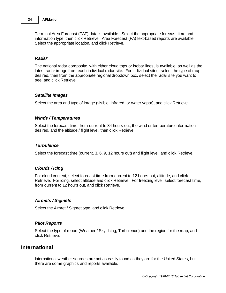Terminal Area Forecast (TAF) data is available. Select the appropriate forecast time and information type, then click Retrieve. Area Forecast (FA) text-based reports are available. Select the appropriate location, and click Retrieve.

### *Radar*

The national radar composite, with either cloud tops or isobar lines, is available, as well as the latest radar image from each individual radar site. For individual sites, select the type of map desired, then from the appropriate regional dropdown box, select the radar site you want to see, and click Retrieve.

#### *Satellite Images*

Select the area and type of image (visible, infrared, or water vapor), and click Retrieve.

#### *Winds / Temperatures*

Select the forecast time, from current to 84 hours out, the wind or temperature information desired, and the altitude / flight level, then click Retrieve.

#### *Turbulence*

Select the forecast time (current, 3, 6, 9, 12 hours out) and flight level, and click Retrieve.

#### *Clouds / Icing*

For cloud content, select forecast time from current to 12 hours out, altitude, and click Retrieve. For icing, select altitude and click Retrieve. For freezing level, select forecast time, from current to 12 hours out, and click Retrieve.

#### *Airmets / Sigmets*

Select the Airmet / Sigmet type, and click Retrieve.

#### *Pilot Reports*

Select the type of report (Weather / Sky, Icing, Turbulence) and the region for the map, and click Retrieve.

# **International**

International weather sources are not as easily found as they are for the United States, but there are some graphics and reports available.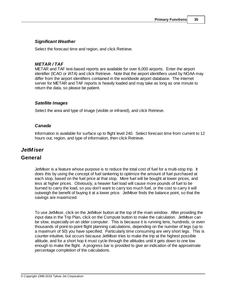# *Significant Weather*

Select the forecast time and region, and click Retrieve.

### *METAR / TAF*

METAR and TAF text-based reports are available for over 6,000 airports. Enter the airport identifier (ICAO or IATA) and click Retrieve. Note that the airport identifiers used by NOAA may differ from the airport identifiers contained in the worldwide airport database. The internet server for METAR and TAF reports is heavily loaded and may take as long as one minute to return the data, so please be patient.

### *Satellite Images*

Select the area and type of image (visible or infrared), and click Retrieve.

### *Canada*

Information is available for surface up to flight level 240. Select forecast time from current to 12 hours out, region, and type of information, then click Retrieve.

# *JetMiser*

# **General**

JetMiser is a feature whose purpose is to reduce the total cost of fuel for a multi-stop trip. It does this by using the concept of fuel tankering to optimize the amount of fuel purchased at each stop, based on the fuel price at that stop. More fuel will be bought at lower prices, and less at higher prices. Obviously, a heavier fuel load will cause more pounds of fuel to be burned to carry the load, so you don't want to carry too much fuel, or the cost to carry it will outweigh the benefit of buying it at a lower price. JetMiser finds the balance point, so that the savings are maximized.

To use JetMiser, click on the JetMiser button at the top of the main window. After providing the input data in the Trip Plan, click on the Compute button to make the calculation. JetMiser can be slow, especially on an older computer. This is because it is running tens, hundreds, or even thousands of point-to-point flight planning calculations, depending on the number of legs (up to a maximum of 50) you have specified. Particularly time consuming are very short legs. This is counter-intuitive, but occurs because JetMiser tries to make the trip at the highest possible altitude, and for a short hop it must cycle through the altitudes until it gets down to one low enough to make the flight. A progress bar is provided to give an indication of the approximate percentage completion of the calculations.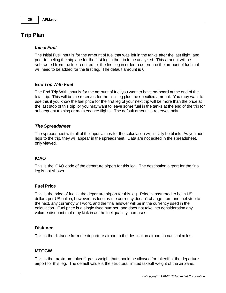# **Trip Plan**

### *Initial Fuel*

The Initial Fuel input is for the amount of fuel that was left in the tanks after the last flight, and prior to fueling the airplane for the first leg in the trip to be analyzed. This amount will be subtracted from the fuel required for the first leg in order to determine the amount of fuel that will need to be added for the first leg. The default amount is 0.

# *End Trip With Fuel*

The End Trip With input is for the amount of fuel you want to have on-board at the end of the total trip. This will be the reserves for the final leg plus the specified amount. You may want to use this if you know the fuel price for the first leg of your next trip will be more than the price at the last stop of this trip, or you may want to leave some fuel in the tanks at the end of the trip for subsequent training or maintenance flights. The default amount is reserves only.

# *The Spreadsheet*

The spreadsheet with all of the input values for the calculation will initially be blank. As you add legs to the trip, they will appear in the spreadsheet. Data are not edited in the spreadsheet, only viewed.

# **ICAO**

This is the ICAO code of the departure airport for this leg. The destination airport for the final leg is not shown.

# **Fuel Price**

This is the price of fuel at the departure airport for this leg. Price is assumed to be in US dollars per US gallon, however, as long as the currency doesn't change from one fuel stop to the next, any currency will work, and the final answer will be in the currency used in the calculation. Fuel price is a single fixed number, and does not take into consideration any volume discount that may kick in as the fuel quantity increases.

### **Distance**

This is the distance from the departure airport to the destination airport, in nautical miles.

# **MTOGW**

This is the maximum takeoff gross weight that should be allowed for takeoff at the departure airport for this leg. The default value is the structural limited takeoff weight of the airplane.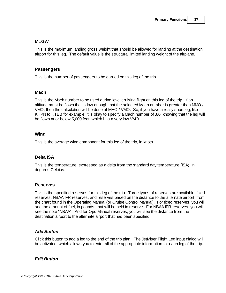### **MLGW**

This is the maximum landing gross weight that should be allowed for landing at the destination airport for this leg. The default value is the structural limited landing weight of the airplane.

### **Passengers**

This is the number of passengers to be carried on this leg of the trip.

### **Mach**

This is the Mach number to be used during level cruising flight on this leg of the trip. If an altitude must be flown that is low enough that the selected Mach number is greater than MMO / VMO, then the calculation will be done at MMO / VMO. So, if you have a really short leg, like KHPN to KTEB for example, it is okay to specify a Mach number of .80, knowing that the leg will be flown at or below 5,000 feet, which has a very low VMO.

### **Wind**

This is the average wind component for this leg of the trip, in knots.

# **Delta ISA**

This is the temperature, expressed as a delta from the standard day temperature (ISA), in degrees Celcius.

### **Reserves**

This is the specified reserves for this leg of the trip. Three types of reserves are available: fixed reserves, NBAA IFR reserves, and reserves based on the distance to the alternate airport, from the chart found in the Operating Manual (or Cruise Control Manual). For fixed reserves, you will see the amount of fuel, in pounds, that will be held in reserve. For NBAA IFR reserves, you will see the note "NBAA". And for Ops Manual reserves, you will see the distance from the destination airport to the alternate airport that has been specified.

### *Add Button*

Click this button to add a leg to the end of the trip plan. The JetMiser Flight Leg input dialog will be activated, which allows you to enter all of the appropriate information for each leg of the trip.

### *Edit Button*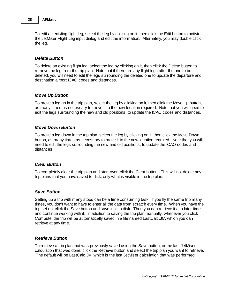To edit an existing flight leg, select the leg by clicking on it, then click the Edit button to activte the JetMiser Flight Leg input dialog and edit the information. Alternately, you may double click the leg.

### *Delete Button*

To delete an existing flight leg, select the leg by clicking on it, then click the Delete button to remove the leg from the trip plan. Note that if there are any flight legs after the one to be deleted, you will need to edit the legs surrounding the deleted one to update the departure and destination airport ICAO codes and distances.

### *Move Up Button*

To move a leg up in the trip plan, select the leg by clicking on it, then click the Move Up button, as many times as necessary to move it to the new location required. Note that you will need to edit the legs surrounding the new and old positions, to update the ICAO codes and distances.

#### *Move Down Button*

To move a leg down in the trip plan, select the leg by clicking on it, then click the Move Down button, as many times as necessary to move it to the new location required. Note that you will need to edit the legs surrounding the new and old positions, to update the ICAO codes and distances.

#### *Clear Button*

To completely clear the trip plan and start over, click the Clear button. This will not delete any trip plans that you have saved to disk, only what is visible in the trip plan.

#### *Save Button*

Setting up a trip with many stops can be a time consuming task. If you fly the same trip many times, you don't want to have to enter all the data from scratch every time. When you have the trip set up, click the Save button and save it all to disk. Then you can retrieve it at a later time and continue working with it. In addition to saving the trip plan manually, whenever you click Compute, the trip will be automatically saved in a file named LastCalc.JM, which you can retrieve at any time.

#### *Retrieve Button*

To retrieve a trip plan that was previously saved using the Save button, or the last JetMiser calculation that was done, click the Retrieve button and select the trip plan you want to retrieve. The default will be LastCalc.JM, which is the last JetMiser calculation that was performed.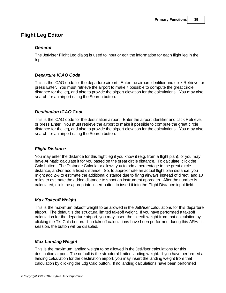# **Flight Leg Editor**

# *General*

The JetMiser Flight Leg dialog is used to input or edit the information for each flight leg in the trip.

# *Departure ICAO Code*

This is the ICAO code for the departure airport. Enter the airport identifier and click Retrieve, or press Enter. You must retrieve the airport to make it possible to compute the great circle distance for the leg, and also to provide the airport elevation for the calculations. You may also search for an airport using the Search button.

# *Destination ICAO Code*

This is the ICAO code for the destination airport. Enter the airport identifier and click Retrieve, or press Enter. You must retrieve the airport to make it possible to compute the great circle distance for the leg, and also to provide the airport elevation for the calculations. You may also search for an airport using the Search button.

# *Flight Distance*

You may enter the distance for this flight leg if you know it (e.g. from a flight plan), or you may have AFMatic calculate it for you based on the great circle distance. To calculate, click the Calc button. The Distance Calculator allows you to add a percentage to the great circle distance, and/or add a fixed distance. So, to approximate an actual flight plan distance, you might add 2% to estimate the additional distance due to flying airways instead of direct, and 10 miles to estimate the added distance to shoot an instrument approach. After the number is calculated, click the appropriate Insert button to insert it into the Flight Distance input field.

# *Max Takeoff Weight*

This is the maximum takeoff weight to be allowed in the JetMiser calculations for this departure airport. The default is the structural limited takeoff weight. If you have performed a takeoff calculation for the departure airport, you may insert the takeoff weight from that calculation by clicking the Tkf Calc button. If no takeoff calculations have been performed during this AFMatic session, the button will be disabled.

# *Max Landing Weight*

This is the maximum landing weight to be allowed in the JetMiser calculations for this destination airport. The default is the structural limited landing weight. If you have performed a landing calculation for the destination airport, you may insert the landing weight from that calculation by clicking the Ldg Calc button. If no landing calculations have been performed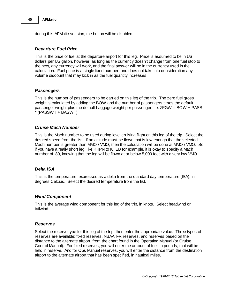during this AFMatic session, the button will be disabled.

### *Departure Fuel Price*

This is the price of fuel at the departure airport for this leg. Price is assumed to be in US dollars per US gallon, however, as long as the currency doesn't change from one fuel stop to the next, any currency will work, and the final answer will be in the currency used in the calculation. Fuel price is a single fixed number, and does not take into consideration any volume discount that may kick in as the fuel quantity increases.

### *Passengers*

This is the number of passengers to be carried on this leg of the trip. The zero fuel gross weight is calculated by adding the BOW and the number of passengers times the default passenger weight plus the default baggage weight per passenger, i.e. ZFGW = BOW + PASS (PASSWT + BAGWT).

### *Cruise Mach Number*

This is the Mach number to be used during level cruising flight on this leg of the trip. Select the desired speed from the list. If an altitude must be flown that is low enough that the selected Mach number is greater than MMO / VMO, then the calculation will be done at MMO / VMO. So, if you have a really short leg, like KHPN to KTEB for example, it is okay to specify a Mach number of .80, knowing that the leg will be flown at or below 5,000 feet with a very low VMO.

### *Delta ISA*

This is the temperature, expressed as a delta from the standard day temperature (ISA), in degrees Celcius. Select the desired temperature from the list.

### *Wind Component*

This is the average wind component for this leg of the trip, in knots. Select headwind or tailwind.

### *Reserves*

Select the reserve type for this leg of the trip, then enter the appropriate value. Three types of reserves are available: fixed reserves, NBAA IFR reserves, and reserves based on the distance to the alternate airport, from the chart found in the Operating Manual (or Cruise Control Manual). For fixed reserves, you will enter the amount of fuel, in pounds, that will be held in reserve. And for Ops Manual reserves, you will enter the distance from the destination airport to the alternate airport that has been specified, in nautical miles.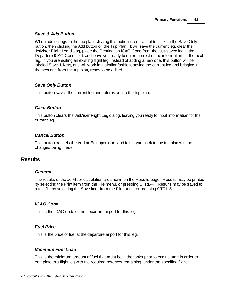### *Save & Add Button*

When adding legs to the trip plan, clicking this button is equivalent to clicking the Save Only button, then clicking the Add button on the Trip Plan. It will save the current leg, clear the JetMiser Flight Leg dialog, place the Destination ICAO Code from the just-saved leg in the Departure ICAO Code field, and leave you ready to enter the rest of the information for the next leg. If you are editing an existing flight leg, instead of adding a new one, this button will be labeled Save & Next, and will work in a similar fashion, saving the current leg and bringing in the next one from the trip plan, ready to be edited.

# *Save Only Button*

This button saves the current leg and returns you to the trip plan.

### *Clear Button*

This button clears the JetMiser Flight Leg dialog, leaving you ready to input information for the current leg.

### *Cancel Button*

This button cancels the Add or Edit operation, and takes you back to the trip plan with no changes being made.

# **Results**

### *General*

The results of the JetMiser calculation are shown on the Results page. Results may be printed by selecting the Print item from the File menu, or pressing CTRL-P. Results may be saved to a text file by selecting the Save item from the File menu, or pressing CTRL-S.

# *ICAO Code*

This is the ICAO code of the departure airport for this leg.

# *Fuel Price*

This is the price of fuel at the departure airport for this leg.

# *Minimum Fuel Load*

This is the minimum amount of fuel that must be in the tanks prior to engine start in order to complete this flight leg with the required reserves remaining, under the specified flight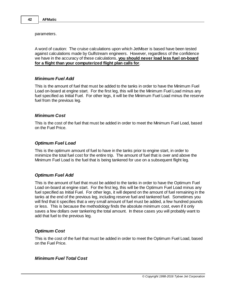parameters.

A word of caution: The cruise calculations upon which JetMiser is based have been tested against calculations made by Gulfstream engineers. However, regardless of the confidence we have in the accuracy of these calculations, **you should never load less fuel on-board for a flight than your computerized flight plan calls for**.

### *Minimum Fuel Add*

This is the amount of fuel that must be added to the tanks in order to have the Minimum Fuel Load on-board at engine start. For the first leg, this will be the Minimum Fuel Load minus any fuel specified as Initial Fuel. For other legs, it will be the Minimum Fuel Load minus the reserve fuel from the previous leg.

### *Minimum Cost*

This is the cost of the fuel that must be added in order to meet the Minimum Fuel Load, based on the Fuel Price.

### *Optimum Fuel Load*

This is the optimum amount of fuel to have in the tanks prior to engine start, in order to minimize the total fuel cost for the entire trip. The amount of fuel that is over and above the Minimum Fuel Load is the fuel that is being tankered for use on a subsequent flight leg.

### *Optimum Fuel Add*

This is the amount of fuel that must be added to the tanks in order to have the Optimum Fuel Load on-board at engine start. For the first leg, this will be the Optimum Fuel Load minus any fuel specified as Initial Fuel. For other legs, it will depend on the amount of fuel remaining in the tanks at the end of the previous leg, including reserve fuel and tankered fuel. Sometimes you will find that it specifies that a very small amount of fuel must be added, a few hundred pounds or less. This is because the methodology finds the absolute minimum cost, even if it only saves a few dollars over tankering the total amount. In these cases you will probably want to add that fuel to the previous leg.

### *Optimum Cost*

This is the cost of the fuel that must be added in order to meet the Optimum Fuel Load, based on the Fuel Price.

### *Minimum Fuel Total Cost*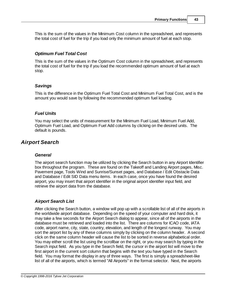This is the sum of the values in the Minimum Cost column in the spreadsheet, and represents the total cost of fuel for the trip if you load only the minimum amount of fuel at each stop.

# *Optimum Fuel Total Cost*

This is the sum of the values in the Optimum Cost column in the spreadsheet, and represents the total cost of fuel for the trip if you load the recommended optimum amount of fuel at each stop.

### *Savings*

This is the difference in the Optimum Fuel Total Cost and Minimum Fuel Total Cost, and is the amount you would save by following the recommended optimum fuel loading.

# *Fuel Units*

You may select the units of measurement for the Minimum Fuel Load, Minimum Fuel Add, Optimum Fuel Load, and Optimum Fuel Add columns by clicking on the desired units. The default is pounds.

# *Airport Search*

# *General*

The airport search function may be utilized by clicking the Search button in any Airport Identifier box throughout the program. These are found on the Takeoff and Landing Airport pages, Misc. Pavement page, Tools Wind and Sunrise/Sunset pages, and Database / Edit Obstacle Data and Database / Edit SID Data menu items. In each case, once you have found the desired airport, you may insert that airport identifier in the original airport identifier input field, and retrieve the airport data from the database.

# *Airport Search List*

After clicking the Search button, a window will pop up with a scrollable list of all of the airports in the worldwide airport database. Depending on the speed of your computer and hard disk, it may take a few seconds for the Airport Search dialog to appear, since all of the airports in the database must be retrieved and loaded into the list. There are columns for ICAO code, IATA code, airport name, city, state, country, elevation, and length of the longest runway. You may sort the airport list by any of these columns simply by clicking on the column header. A second click on the same column header will cause the list to be sorted in reverse alphabetical order. You may either scroll the list using the scrollbar on the right, or you may search by typing in the Search input field. As you type in the Search field, the cursor in the airport list will move to the first airport in the current sort column that begins with the text you have typed in the Search field. You may format the display in any of three ways. The first is simply a spreadsheet-like list of all of the airports, which is termed "All Airports" in the format selector. Next, the airports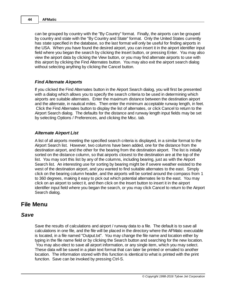can be grouped by country with the "By Country" format. Finally, the airports can be grouped by country and state with the "By Country and State" format. Only the United States currently has state specified in the database, so the last format will only be useful for finding airports in the USA. When you have found the desired airport, you can insert it in the airport identifier input field where you began the search by clicking the Insert button, or pressing Enter. You may also view the airport data by clicking the View button, or you may find alternate airports to use with this airport by clicking the Find Alternates button. You may also exit the airport search dialog without selecting anything by clicking the Cancel button.

### *Find Alternate Airports*

If you clicked the Find Alternates button in the Airport Search dialog, you will first be presented with a dialog which allows you to specify the search criteria to be used in determining which airports are suitable alternates. Enter the maximum distance between the destination airport and the alternate, in nautical miles. Then enter the minimum acceptable runway length, in feet. Click the Find Alternates button to display the list of alternates, or click Cancel to return to the Airport Search dialog. The defaults for the distance and runway length input fields may be set by selecting Options / Preferences, and clicking the Misc. tab.

### *Alternate Airport List*

A list of all airports meeting the specified search criteria is displayed, in a similar format to the Airport Search list. However, two columns have been added, one for the distance from the destination airport, and the other for the bearing from the destination airport. The list is initially sorted on the distance column, so that airports closest to the destination are at the top of the list. You may sort this list by any of the columns, including bearing, just as with the Airport Search list. An interesting use for sorting by bearing might be if severe weather existed to the west of the destination airport, and you wanted to find suitable alternates to the east. Simply click on the bearing column header, and the airports will be sorted around the compass from 1 to 360 degrees, making it easy to pick out which potential alternates lie to the east. You may click on an airport to select it, and then click on the Insert button to insert it in the airport identifier input field where you began the search, or you may click Cancel to return to the Airport Search dialog.

# **File Menu**

# *Save*

Save the results of calculations and airport / runway data to a file. The default is to save all calculations in one file, and the file will be placed in the directory where the AFMatic executable is located, in a file named "Output.txt". You may change the file name and location either by typing in the file name field or by clicking the Search button and searching for the new location. You may also elect to save all airport information, or any single item, which you may select. These data will be saved in a plain text format that can later be printed or emailed to another location. The information stored with this function is identical to what is printed with the print function. Save can be invoked by pressing Ctrl-S.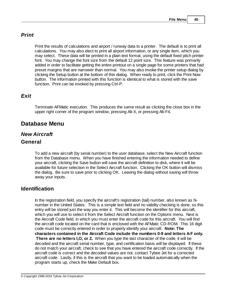# *Print*

Print the results of calculations and airport / runway data to a printer. The default is to print all calculations. You may also elect to print all airport information, or any single item, which you may select. These data will be printed in a plain text format, using the default fixed pitch printer font. You may change the font size from the default 12 point size. This feature was primarily added in order to facilitate getting the entire printout on a single page for some printers that had preset margins that are narrower than normal. You may also invoke the printer setup dialog by clicking the Setup button at the bottom of this dialog. When ready to print, click the Print Now button. The information printed with this function is identical to what is stored with the save function. Print can be invoked by pressing Ctrl-P.

# *Exit*

Terminate AFMatic execution. This produces the same result as clicking the close box in the upper right corner of the program window, pressing Alt-X, or pressing Alt-F4.

# **Database Menu**

# *New Aircraft*

# **General**

To add a new aircraft (by serial number) to the user database, select the New Aircraft function from the Database menu. When you have finished entering the information needed to define your aircraft, clicking the Save button will save the aircraft definition to disk, where it will be available for future selection in the Select Aircraft function. Clicking the OK button will dismiss the dialog. Be sure to save prior to clicking OK. Leaving the dialog without saving will throw away your inputs.

# **Identification**

In the registration field, you specify the aircraft's registration (tail) number, also known as Nnumber in the United States. This is a simple text field and no validity checking is done, so this entry will be stored just the way you enter it. This will become the identifier for this aircraft, which you will use to select it from the Select Aircraft function on the Options menu. Next is the Aircraft Code field, in which you must enter the aircraft code for this aircraft. You will find the aircraft code located on the card that is enclosed with the AFMatic CD-ROM. This 16 digit code must be correctly entered in order to properly identify your aircraft. **Note: The characters contained in the Aircraft Code include the numbers 0-9 and letters A-F only. There are no letters I,O, or Z.** When you type the last character of the code, it will be decoded and the aircraft serial number, type, and certification basis will be displayed. If these do not match your aircraft, check to see that you have entered the aircraft code correctly. If the aircraft code is correct and the decoded values are not, contact Tybee Jet for a corrected aircraft code. Lastly, if this is the aircraft that you want to be loaded automatically when the program starts up, check the Make Default box.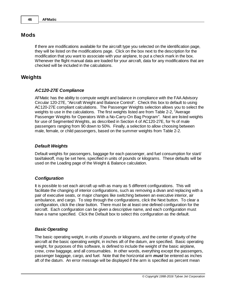# **Mods**

If there are modifications available for the aircraft type you selected on the identification page, they will be listed on the modifications page. Click on the box next to the description for the modification that you want to associate with your airplane, to put a check mark in the box. Whenever the flight manual data are loaded for your aircraft, data for any modifications that are checked will be included in the calculations.

# **Weights**

### *AC120-27E Compliance*

AFMatic has the ability to compute weight and balance in compliance with the FAA Advisory Circular 120-27E, "Aircraft Weight and Balance Control". Check this box to default to using AC120-27E compliant calculations. The Passenger Weights selection allows you to select the weights to use in the calculations. The first weights listed are from Table 2-2, "Average Passenger Weights for Operators With a No-Carry-On Bag Program". Next are listed weights for use of Segmented Weights, as described in Section 4 of AC120-27E, for % of male passengers ranging from 90 down to 50%. Finally, a selection to allow choosing between male, female, or child passengers, based on the summer weights from Table 2-2.

### *Default Weights*

Default weights for passengers, baggage for each passenger, and fuel consumption for start/ taxi/takeoff, may be set here, specified in units of pounds or kilograms. These defaults will be used on the Loading page of the Weight & Balance calculation.

### *Configuration*

It is possible to set each aircraft up with as many as 5 different configurations. This will facilitate the changing of interior configurations, such as removing a divan and replacing with a pair of executive seats, or major changes like switching between an executive interior, air ambulance, and cargo. To step through the configurations, click the Next button. To clear a configuration, click the clear button. There must be at least one defined configuration for the aircraft. Each configuration can be given a descriptive name, and each configuration must have a name specified. Click the Default box to select this configuration as the default.

### *Basic Operating*

The basic operating weight, in units of pounds or kilograms, and the center of gravity of the aircraft at the basic operating weight, in inches aft of the datum, are specified. Basic operating weight, for purposes of this software, is defined to include the weight of the basic airplane, crew, crew baggage, and all consumables. In other words, everything except the passengers, passenger baggage, cargo, and fuel. Note that the horizontal arm *must* be entered as inches aft of the datum. An error message will be displayed if the arm is specified as percent mean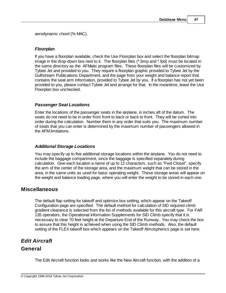aerodynamic chord (% MAC).

# *Floorplan*

If you have a floorplan available, check the Use Floorplan box and select the floorplan bitmap image in the drop-down box next to it. The floorplan files (\*.bmp and \*.fpd) must be located in the same directory as the AFMatic program files. These floorplan files will be customized by Tybee Jet and provided to you. They require a floorplan graphic provided to Tybee Jet by the Gulfstream Publications Department, and the page from your weight and balance report that contains the seat arm information, provided to Tybee Jet by you. If a floorplan has not yet been provided to you, please contact Tybee Jet and arrange for that. In the meantime, leave the Use Floorplan box unchecked.

# *Passenger Seat Locations*

Enter the locations of the passenger seats in the airplane, in inches aft of the datum. The seats do not need to be in order from front to back or back to front. They will be sorted into order during the calculation. Number them in any order that suits you. The maximum number of seats that you can enter is determined by the maximum number of passengers allowed in the AFM limitations.

# *Additional Storage Locations*

You may specify up to five additional storage locations within the airplane. You do not need to include the baggage compartment, since the baggage is specified separately during calculation. Give each location a name of up to 12 characters, such as "Fwd Closet", specify the arm of the center of the storage area, and the maximum weight that can be stored in the area, in the same units as used for basic operating weight. These storage areas will appear on the weight and balance loading page, where you will enter the weight to be stored in each one.

# **Miscellaneous**

The default flap setting for takeoff and optimize box setting, which appear on the Takeoff Configuration page are specified. The default method for calculation of SID required climb gradient clearance is selected from the list of methods available for this aircraft type. For FAR 135 operators, the Operational Information Supplements for SID Climb specify that it is necessary to clear 70 feet height at the Departure End of the Runway. You may check the box to assure that this height is achieved when using the SID Climb methods. Also, the default setting of the FLEX takeoff box which appears on the Takeoff Atmospherics page is set here.

# *Edit Aircraft* **General**

The Edit Aircraft function looks and works like the New Aircraft function, with the addition of a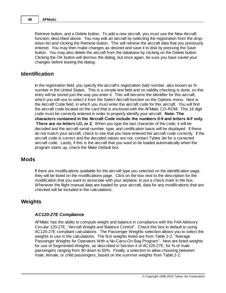Retrieve button, and a Delete button. To add a new aircraft, you must use the New Aircraft function, described above. You may edit an aircraft by selecting the registration from the dropdown list and clicking the Retrieve button. This will retrieve the aircraft data that you previously entered. You may then make changes as desired and save it to disk by pressing the Save button. You may also delete the aircraft from the database by clicking on the Delete button. Clicking the OK button will dismiss the dialog, but once again, be sure you have saved your changes before leaving the dialog.

# **Identification**

In the registration field, you specify the aircraft's registration (tail) number, also known as Nnumber in the United States. This is a simple text field and no validity checking is done, so this entry will be stored just the way you enter it. This will become the identifier for this aircraft, which you will use to select it from the Select Aircraft function on the Options menu. Next is the Aircraft Code field, in which you must enter the aircraft code for this aircraft. You will find the aircraft code located on the card that is enclosed with the AFMatic CD-ROM. This 16 digit code must be correctly entered in order to properly identify your aircraft. **Note: The characters contained in the Aircraft Code include the numbers 0-9 and letters A-F only. There are no letters I,O, or Z.** When you type the last character of the code, it will be decoded and the aircraft serial number, type, and certification basis will be displayed. If these do not match your aircraft, check to see that you have entered the aircraft code correctly. If the aircraft code is correct and the decoded values are not, contact Tybee Jet for a corrected aircraft code. Lastly, if this is the aircraft that you want to be loaded automatically when the program starts up, check the Make Default box.

# **Mods**

If there are modifications available for the aircraft type you selected on the identification page, they will be listed on the modifications page. Click on the box next to the description for the modification that you want to associate with your airplane, to put a check mark in the box. Whenever the flight manual data are loaded for your aircraft, data for any modifications that are checked will be included in the calculations.

# **Weights**

### *AC120-27E Compliance*

AFMatic has the ability to compute weight and balance in compliance with the FAA Advisory Circular 120-27E, "Aircraft Weight and Balance Control". Check this box to default to using AC120-27E compliant calculations. The Passenger Weights selection allows you to select the weights to use in the calculations. The first weights listed are from Table 2-2, "Average Passenger Weights for Operators With a No-Carry-On Bag Program". Next are listed weights for use of Segmented Weights, as described in Section 4 of AC120-27E, for % of male passengers ranging from 90 down to 50%. Finally, a selection to allow choosing between male, female, or child passengers, based on the summer weights from Table 2-2.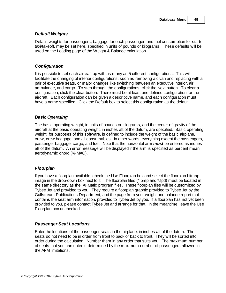# *Default Weights*

Default weights for passengers, baggage for each passenger, and fuel consumption for start/ taxi/takeoff, may be set here, specified in units of pounds or kilograms. These defaults will be used on the Loading page of the Weight & Balance calculation.

# *Configuration*

It is possible to set each aircraft up with as many as 5 different configurations. This will facilitate the changing of interior configurations, such as removing a divan and replacing with a pair of executive seats, or major changes like switching between an executive interior, air ambulance, and cargo. To step through the configurations, click the Next button. To clear a configuration, click the clear button. There must be at least one defined configuration for the aircraft. Each configuration can be given a descriptive name, and each configuration must have a name specified. Click the Default box to select this configuration as the default.

# *Basic Operating*

The basic operating weight, in units of pounds or kilograms, and the center of gravity of the aircraft at the basic operating weight, in inches aft of the datum, are specified. Basic operating weight, for purposes of this software, is defined to include the weight of the basic airplane, crew, crew baggage, and all consumables. In other words, everything except the passengers, passenger baggage, cargo, and fuel. Note that the horizontal arm *must* be entered as inches aft of the datum. An error message will be displayed if the arm is specified as percent mean aerodynamic chord (% MAC).

# *Floorplan*

If you have a floorplan available, check the Use Floorplan box and select the floorplan bitmap image in the drop-down box next to it. The floorplan files (\*.bmp and \*.fpd) must be located in the same directory as the AFMatic program files. These floorplan files will be customized by Tybee Jet and provided to you. They require a floorplan graphic provided to Tybee Jet by the Gulfstream Publications Department, and the page from your weight and balance report that contains the seat arm information, provided to Tybee Jet by you. If a floorplan has not yet been provided to you, please contact Tybee Jet and arrange for that. In the meantime, leave the Use Floorplan box unchecked.

# *Passenger Seat Locations*

Enter the locations of the passenger seats in the airplane, in inches aft of the datum. The seats do not need to be in order from front to back or back to front. They will be sorted into order during the calculation. Number them in any order that suits you. The maximum number of seats that you can enter is determined by the maximum number of passengers allowed in the AFM limitations.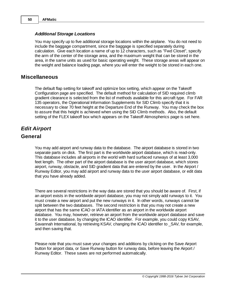### *Additional Storage Locations*

You may specify up to five additional storage locations within the airplane. You do not need to include the baggage compartment, since the baggage is specified separately during calculation. Give each location a name of up to 12 characters, such as "Fwd Closet", specify the arm of the center of the storage area, and the maximum weight that can be stored in the area, in the same units as used for basic operating weight. These storage areas will appear on the weight and balance loading page, where you will enter the weight to be stored in each one.

# **Miscellaneous**

The default flap setting for takeoff and optimize box setting, which appear on the Takeoff Configuration page are specified. The default method for calculation of SID required climb gradient clearance is selected from the list of methods available for this aircraft type. For FAR 135 operators, the Operational Information Supplements for SID Climb specify that it is necessary to clear 70 feet height at the Departure End of the Runway. You may check the box to assure that this height is achieved when using the SID Climb methods. Also, the default setting of the FLEX takeoff box which appears on the Takeoff Atmospherics page is set here.

# *Edit Airport*

# **General**

You may add airport and runway data to the database. The airport database is stored in two separate parts on disk. The first part is the worldwide airport database, which is read-only. This database includes all airports in the world with hard surfaced runways of at least 3,000 feet length. The other part of the airport database is the user airport database, which stores airport, runway, obstacle, and SID gradient data that are entered by the user. In the Airport / Runway Editor, you may add airport and runway data to the user airport database, or edit data that you have already added.

There are several restrictions in the way data are stored that you should be aware of. First, if an airport exists in the worldwide airport database, you may not simply add runways to it. You must create a new airport and put the new runways in it. In other words, runways cannot be split between the two databases. The second restriction is that you may not create a new airport that has the same ICAO or IATA identifier as an airport in the worldwide airport database. You may, however, retrieve an airport from the worldwide airport database and save it to the user database, by changing the ICAO identifier. For example, you could copy KSAV, Savannah International, by retrieving KSAV, changing the ICAO identifier to \_SAV, for example, and then saving that.

Please note that you must save your changes and additions by clicking on the Save Airport button for airport data, or Save Runway button for runway data, before leaving the Airport / Runway Editor. These saves are not performed automatically.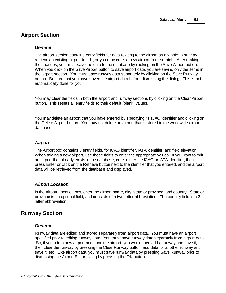# **Airport Section**

### *General*

The airport section contains entry fields for data relating to the airport as a whole. You may retrieve an existing airport to edit, or you may enter a new airport from scratch. After making the changes, you must save the data to the database by clicking on the Save Airport button. When you click on the Save Airport button to save airport data, you are saving only the items in the airport section. You must save runway data separately by clicking on the Save Runway button. Be sure that you have saved the airport data before dismissing the dialog. This is not automatically done for you.

You may clear the fields in both the airport and runway sections by clicking on the Clear Airport button. This resets all entry fields to their default (blank) values.

You may delete an airport that you have entered by specifying its ICAO identifier and clicking on the Delete Airport button. You may not delete an airport that is stored in the worldwide airport database.

### *Airport*

The Airport box contains 3 entry fields, for ICAO identifier, IATA identifier, and field elevation. When adding a new airport, use these fields to enter the appropriate values. If you want to edit an airport that already exists in the database, enter either the ICAO or IATA identifier, then press Enter or click on the Retrieve button next to the identifier that you entered, and the airport data will be retrieved from the database and displayed.

# *Airport Location*

In the Airport Location box, enter the airport name, city, state or province, and country. State or province is an optional field, and consists of a two-letter abbreviation. The country field is a 3 letter abbreviation.

# **Runway Section**

### *General*

Runway data are edited and stored separately from airport data. You must have an airport specified prior to editing runway data. You must save runway data separately from airport data. So, if you add a new airport and save the airport, you would then add a runway and save it, then clear the runway by pressing the Clear Runway button, add data for another runway and save it, etc. Like airport data, you must save runway data by pressing Save Runway prior to dismissing the Airport Editor dialog by pressing the OK button.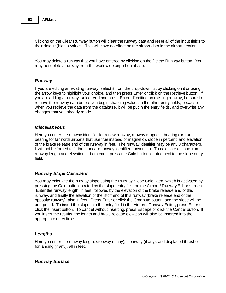Clicking on the Clear Runway button will clear the runway data and reset all of the input fields to their default (blank) values. This will have no effect on the airport data in the airport section.

You may delete a runway that you have entered by clicking on the Delete Runway button. You may not delete a runway from the worldwide airport database.

### *Runway*

If you are editing an existing runway, select it from the drop-down list by clicking on it or using the arrow keys to highlight your choice, and then press Enter or click on the Retrieve button. If you are adding a runway, select Add and press Enter. If editing an existing runway, be sure to retrieve the runway data before you begin changing values in the other entry fields, because when you retrieve the data from the database, it will be put in the entry fields, and overwrite any changes that you already made.

#### *Miscellaneous*

Here you enter the runway identifier for a new runway, runway magnetic bearing (or true bearing for far north airports that use true instead of magnetic), slope in percent, and elevation of the brake release end of the runway in feet. The runway identifier may be any 3 characters. It will not be forced to fit the standard runway identifier convention. To calculate a slope from runway length and elevation at both ends, press the Calc button located next to the slope entry field.

### *Runway Slope Calculator*

You may calculate the runway slope using the Runway Slope Calculator, which is activated by pressing the Calc button located by the slope entry field on the Airport / Runway Editor screen. Enter the runway length, in feet, followed by the elevation of the brake release end of this runway, and finally the elevation of the liftoff end of this runway (brake release end of the opposite runway), also in feet. Press Enter or click the Compute button, and the slope will be computed. To insert the slope into the entry field in the Airport / Runway Editor, press Enter or click the Insert button. To cancel without inserting, press Escape or click the Cancel button. If you insert the results, the length and brake release elevation will also be inserted into the appropriate entry fields.

### *Lengths*

Here you enter the runway length, stopway (if any), clearway (if any), and displaced threshold for landing (if any), all in feet.

### *Runway Surface*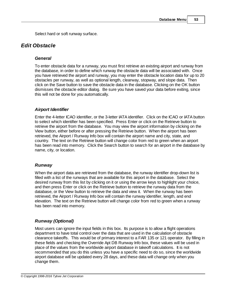Select hard or soft runway surface.

# *Edit Obstacle*

### *General*

To enter obstacle data for a runway, you must first retrieve an existing airport and runway from the database, in order to define which runway the obstacle data will be associated with. Once you have retrieved the airport and runway, you may enter the obstacle location data for up to 20 obstacles per runway, as well as optional length, clearway, stopway, and slope data. Then click on the Save button to save the obstacle data in the database. Clicking on the OK button dismisses the obstacle editor dialog. Be sure you have saved your data before exiting, since this will not be done for you automatically.

# *Airport Identifier*

Enter the 4-letter ICAO identifier, or the 3-letter IATA identifier. Click on the ICAO or IATA button to select which identifier has been specified. Press Enter or click on the Retrieve button to retrieve the airport from the database. You may view the airport information by clicking on the View button, either before or after pressing the Retrieve button. When the airport has been retrieved, the Airport / Runway Info box will contain the airport name and city, state, and country. The text on the Retrieve button will change color from red to green when an airport has been read into memory. Click the Search button to search for an airport in the database by name, city, or location.

### *Runway*

When the airport data are retrieved from the database, the runway identifier drop-down list is filled with a list of the runways that are available for this airport in the database. Select the desired runway from this list by clicking on it or using the arrow keys to highlight your choice, and then press Enter or click on the Retrieve button to retrieve the runway data from the database, or the View button to retrieve the data and view it. When the runway has been retrieved, the Airport / Runway Info box will contain the runway identifier, length, and end elevation. The text on the Retrieve button will change color from red to green when a runway has been read into memory.

# *Runway (Optional)*

Most users can ignore the input fields in this box. Its purpose is to allow a flight operations department to have total control over the data that are used in the calculation of obstacle clearance takeoffs. This would be of primary interest to a FAR 135 or 121 operator. By filling in these fields and checking the Override Apt DB Runway Info box, these values will be used in place of the values from the worldwide airport database in takeoff calculations. It is not recommended that you do this unless you have a specific need to do so, since the worldwide airport database will be updated every 28 days, and these data will change only when you change them.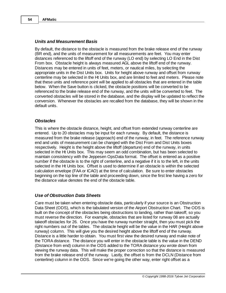### *Units and Measurement Basis*

By default, the distance to the obstacle is measured from the brake release end of the runway (BR end), and the units of measurement for all measurements are feet. You may enter distances referenced to the liftoff end of the runway (LO end) by selecting LO End in the Dist From box. Obstacle height is always measured AGL above the liftoff end of the runway. Distances may be entered in units of feet, meters, or nautical miles, by selecting the appropriate units in the Dist Units box. Units for height above runway and offset from runway centerline may be selected in the Ht Units box, and are limited to feet and meters. Please note that these units and reference point will be applied to all obstacles that are entered in the table below. When the Save button is clicked, the obstacle positions will be converted to be referenced to the brake release end of the runway, and the units will be converted to feet. The converted obstacles will be stored in the database, and the display will be updated to reflect the conversion. Whenever the obstacles are recalled from the database, they will be shown in the default units.

### *Obstacles*

This is where the obstacle distance, height, and offset from extended runway centerline are entered. Up to 20 obstacles may be input for each runway. By default, the distance is measured from the brake release (approach) end of the runway, in feet. The reference runway end and units of measurement can be changed with the Dist From and Dist Units boxes respectively. Height is the height above the liftoff (departure) end of the runway, in units selected in the Ht Units box. This may seem an odd combination, but has been selected to maintain consistency with the Jeppesen OpsData format. The offset is entered as a positive number if the obstacle is to the right of centerline, and a negative if it is to the left, in the units selected in the Ht Units box. Offset is used to determine if an obstacle is within the selected calculation envelope (FAA or ICAO) at the time of calculation. Be sure to enter obstacles beginning on the top line of the table and proceeding down, since the first line having a zero for the distance value denotes the end of the obstacle table.

### *Use of Obstruction Data Sheets*

Care must be taken when entering obstacle data, particularly if your source is an Obstruction Data Sheet (ODS), which is the tabulated version of the Airport Obstruction Chart. The ODS is built on the concept of the obstacles being obstructions to landing, rather than takeoff, so you must reverse the direction. For example, obstacles that are listed for runway 08 are actually takeoff obstacles for 26. Once you have the runway number straight, then you must pick the right numbers out of the tables. The obstacle height will be the value in the HAR (Height above runway) column. This will give you the desired height above the liftoff end of the runway. Distance is a little harder to obtain. You must first view the desired runway and make note of the TORA distance. The distance you will enter in the obstacle table is the value in the DEND (Distance from end) column in the ODS added to the TORA distance you wrote down from viewing the runway data. This will make the proper correction so that the distance is measured from the brake release end of the runway. Lastly, the offset is from the DCLN (Distance from centerline) column in the ODS. Since we're going the other way, enter right offset as a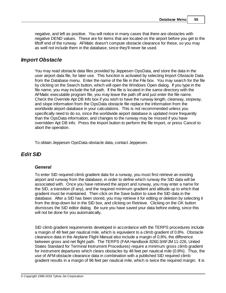negative, and left as positive. You will notice in many cases that there are obstacles with negative DEND values. These are for items that are located on the airport before you get to the liftoff end of the runway. AFMatic doesn't compute obstacle clearance for these, so you may as well not include them in the database, since they'll never be used.

# *Import Obstacle*

You may read obstacle data files provided by Jeppesen OpsData, and store the data in the user airport data file, for later use. This function is activated by selecting Import Obstacle Data from the Database menu. Enter the name of the file in the File box. You may search for the file by clicking on the Search button, which will open the Windows Open dialog. If you type in the file name, you may include the full path. If the file is located in the same directory with the AFMatic executable program file, you may leave the path off and just enter the file name. Check the Override Apt DB Info box if you wish to have the runway length, clearway, stopway, and slope information from the OpsData obstacle file replace the information from the worldwide airport database in your calculations. This is not recommended unless you specifically need to do so, since the worldwide airport database is updated more frequently than the OpsData information, and changes to the runway may be missed if you have overridden Apt DB info. Press the Import button to perform the file import, or press Cancel to abort the operation.

To obtain Jeppesen OpsData obstacle data, contact Jeppesen.

# *Edit SID*

### *General*

To enter SID required climb gradient data for a runway, you must first retrieve an existing airport and runway from the database, in order to define which runway the SID data will be associated with. Once you have retrieved the airport and runway, you may enter a name for the SID, a transition (if any), and the required minimum gradient and altitude up to which that gradient must be maintained. Then click on the Save button to save the SID data in the database. After a SID has been stored, you may retrieve it for editing or deletion by selecting it from the drop-down list in the SID box, and clicking on Retrieve. Clicking on the OK button dismisses the SID editor dialog. Be sure you have saved your data before exiting, since this will not be done for you automatically.

SID climb gradient requirements developed in accordance with the TERPS procedures include a margin of 48 feet per nautical mile, which is equivalent to a climb gradient of 0.8%. Obstacle clearance data in the Airplane Flight Manual also include a margin of 0.8%, the difference between gross and net flight path. The TERPS (FAA Handbook 8260.3/AFJM 11-226, United States Standard for Terminal Instrument Procedures) require a minimum gross climb gradient for instrument departures which clears obstacles by 48 feet per nautical mile (0.8%). Thus, the use of AFM obstacle clearance data in combination with a published SID required climb gradient results in a margin of 96 feet per nautical mile, which is twice the required margin. It is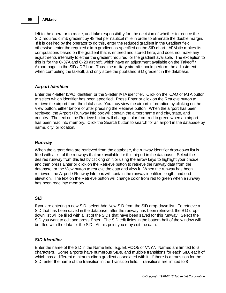left to the operator to make, and take responsibility for, the decision of whether to reduce the SID required climb gradient by 48 feet per nautical mile in order to eliminate the double margin. If it is desired by the operator to do this, enter the reduced gradient in the Gradient field, otherwise, enter the required climb gradient as specified on the SID chart. AFMatic makes its computations based on the gradient that is entered and stored here, and does not make any adjustments internally to either the gradient required, or the gradient available. The exception to this is for the C-37A and C-20 aircraft, which have an adjustment available on the Takeoff / Airport page, in the SID / DP box. Thus, the military aircraft should perform the adjustment when computing the takeoff, and only store the published SID gradient in the database.

### *Airport Identifier*

Enter the 4-letter ICAO identifier, or the 3-letter IATA identifier. Click on the ICAO or IATA button to select which identifier has been specified. Press Enter or click on the Retrieve button to retrieve the airport from the database. You may view the airport information by clicking on the View button, either before or after pressing the Retrieve button. When the airport has been retrieved, the Airport / Runway Info box will contain the airport name and city, state, and country. The text on the Retrieve button will change color from red to green when an airport has been read into memory. Click the Search button to search for an airport in the database by name, city, or location.

### *Runway*

When the airport data are retrieved from the database, the runway identifier drop-down list is filled with a list of the runways that are available for this airport in the database. Select the desired runway from this list by clicking on it or using the arrow keys to highlight your choice, and then press Enter or click on the Retrieve button to retrieve the runway data from the database, or the View button to retrieve the data and view it. When the runway has been retrieved, the Airport / Runway Info box will contain the runway identifier, length, and end elevation. The text on the Retrieve button will change color from red to green when a runway has been read into memory.

### *SID*

If you are entering a new SID, select Add New SID from the SID drop-down list. To retrieve a SID that has been saved in the database, after the runway has been retrieved, the SID dropdown list will be filled with a list of the SIDs that have been saved for this runway. Select the SID you want to edit and press Enter. The SID edit fields in the bottom half of the window will be filled with the data for the SID. At this point you may edit the data.

### *SID Identifier*

Enter the name of the SID in the Name field, e.g. ELMOO5 or VNY7. Names are limited to 6 characters. Some airports have numerous SIDs, and multiple transitions for each SID, each of which has a different minimum climb gradient associated with it. If there is a transition for the SID, enter the name of the transition in the Transition field. Transitions are limited to 8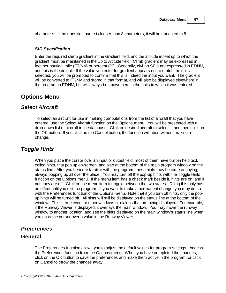characters. If the transition name is longer than 8 characters, it will be truncated to 8.

### *SID Specification*

Enter the required climb gradient in the Gradient field, and the altitude in feet up to which the gradient must be maintained in the Up to Altitude field. Climb gradient may be expressed in feet per nautical mile (FT/NM) or percent (%). Generally, civilian SIDs are expressed in FT/NM, and this is the default. If the value you enter for gradient appears not to match the units selected, you will be prompted to confirm that this is indeed the input you want. The gradient will be converted to FT/NM and stored in that format, and will also be displayed elsewhere in the program in FT/NM, but will always be shown here in the units in which it was entered.

# **Options Menu**

# *Select Aircraft*

To select an aircraft for use in making computations from the list of aircraft that you have entered, use the Select Aircraft function on the Options menu. You will be presented with a drop-down list of aircraft in the database. Click on desired aircraft to select it, and then click on the OK button. If you click on the Cancel button, the function will abort without making a change.

# *Toggle Hints*

When you place the cursor over an input or output field, most of them have built-in help text, called hints, that pop up on-screen, and also at the bottom of the main program window on the status line. After you become familiar with the program, these hints may become annoying, always popping up all over the place. You may turn off the pop-up hints with the Toggle Hints function on the Options menu. If the menu item has a check mark beside it, hints are on, and if not, they are off. Click on the menu item to toggle between the two states. Doing this only has an effect until you exit the program. If you want to make a permanent change, you may do so with the Preferences function of the Options menu. Note that if you turn off hints, only the popup hints will be turned off. All hints will still be displayed on the status line at the bottom of the window. This is true even for other windows or dialogs that are being displayed. For example, if the Runway Viewer is displayed, it overlays the main window. You may move the runway window to another location, and see the hints displayed on the main window's status line when you pass the cursor over a value in the Runway Viewer.

# *Preferences*

# **General**

The Preferences function allows you to adjust the default values for program settings. Access the Preferences function from the Options menu. When you have completed the changes, click on the OK button to save the preferences and make them active in the program, or click on Cancel to throw the changes away.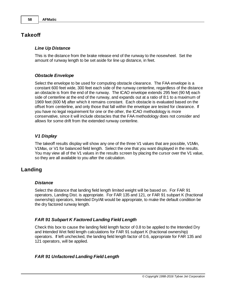# **Takeoff**

### *Line Up Distance*

This is the distance from the brake release end of the runway to the nosewheel. Set the amount of runway length to be set aside for line up distance, in feet.

### *Obstacle Envelope*

Select the envelope to be used for computing obstacle clearance. The FAA envelope is a constant 600 feet wide, 300 feet each side of the runway centerline, regardless of the distance an obstacle is from the end of the runway. The ICAO envelope extends 295 feet (90 M) each side of centerline at the end of the runway, and expands out at a ratio of 8:1 to a maximum of 1969 feet (600 M) after which it remains constant. Each obstacle is evaluated based on the offset from centerline, and only those that fall within the envelope are tested for clearance. If you have no legal requirement for one or the other, the ICAO methodology is more conservative, since it will include obstacles that the FAA methodology does not consider and allows for some drift from the extended runway centerline.

### *V1 Display*

The takeoff results display will show any one of the three V1 values that are possible, V1Min, V1Max, or V1 for balanced field length. Select the one that you want displayed in the results. You may view all of the V1 values in the results screen by placing the cursor over the V1 value, so they are all available to you after the calculation.

# **Landing**

### *Distance*

Select the distance that landing field length limited weight will be based on. For FAR 91 operators, Landing Dist. is appropriate. For FAR 135 and 121, or FAR 91 subpart K (fractional ownership) operators, Intended Dry/Alt would be appropriate, to make the default condition be the dry factored runway length.

# *FAR 91 Subpart K Factored Landing Field Length*

Check this box to cause the landing field length factor of 0.8 to be applied to the Intended Dry and Intended Wet field length calculations for FAR 91 subpart K (fractional ownership) operators. If left unchecked, the landing field length factor of 0.6, appropriate for FAR 135 and 121 operators, will be applied.

# *FAR 91 Unfactored Landing Field Length*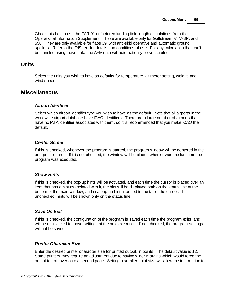Check this box to use the FAR 91 unfactored landing field length calculations from the Operational Information Supplement. These are available only for Gulfstream V, IV-SP, and 550. They are only available for flaps 39, with anti-skid operative and automatic ground spoilers. Refer to the OIS text for details and conditions of use. For any calculation that can't be handled using these data, the AFM data will automatically be substituted.

# **Units**

Select the units you wish to have as defaults for temperature, altimeter setting, weight, and wind speed.

# **Miscellaneous**

### *Airport Identifier*

Select which airport identifier type you wish to have as the default. Note that all airports in the worldwide airport database have ICAO identifiers. There are a large number of airports that have no IATA identifier associated with them, so it is recommended that you make ICAO the default.

### *Center Screen*

If this is checked, whenever the program is started, the program window will be centered in the computer screen. If it is not checked, the window will be placed where it was the last time the program was executed.

# *Show Hints*

If this is checked, the pop-up hints will be activated, and each time the cursor is placed over an item that has a hint associated with it, the hint will be displayed both on the status line at the bottom of the main window, and in a pop-up hint attached to the tail of the cursor. If unchecked, hints will be shown only on the status line.

# *Save On Exit*

If this is checked, the configuration of the program is saved each time the program exits, and will be reinitialized to those settings at the next execution. If not checked, the program settings will not be saved.

# *Printer Character Size*

Enter the desired printer character size for printed output, in points. The default value is 12. Some printers may require an adjustment due to having wider margins which would force the output to spill over onto a second page. Setting a smaller point size will allow the information to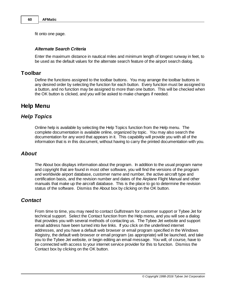fit onto one page.

### *Alternate Search Criteria*

Enter the maximum distance in nautical miles and minimum length of longest runway in feet, to be used as the default values for the alternate search feature of the airport search dialog.

# **Toolbar**

Define the functions assigned to the toolbar buttons. You may arrange the toolbar buttons in any desired order by selecting the function for each button. Every function must be assigned to a button, and no function may be assigned to more than one button. This will be checked when the OK button is clicked, and you will be asked to make changes if needed.

# **Help Menu**

# *Help Topics*

Online help is available by selecting the Help Topics function from the Help menu. The complete documentation is available online, organized by topic. You may also search the documentation for any word that appears in it. This capability will provide you with all of the information that is in this document, without having to carry the printed documentation with you.

# *About*

The About box displays information about the program. In addition to the usual program name and copyright that are found in most other software, you will find the versions of the program and worldwide airport database, customer name and number, the active aircraft type and certification basis, and the revision number and dates of the Airplane Flight Manual and other manuals that make up the aircraft database. This is the place to go to determine the revision status of the software. Dismiss the About box by clicking on the OK button.

# *Contact*

From time to time, you may need to contact Gulfstream for customer support or Tybee Jet for technical support. Select the Contact function from the Help menu, and you will see a dialog that provides you with several methods of contacting us. The Tybee Jet website and support email address have been turned into live links. If you click on the underlined internet addresses, and you have a default web browser or email program specified in the Windows Registry, the default web browser or email program (as appropriate) will be launched, and take you to the Tybee Jet website, or begin editing an email message. You will, of course, have to be connected with access to your internet service provider for this to function. Dismiss the Contact box by clicking on the OK button.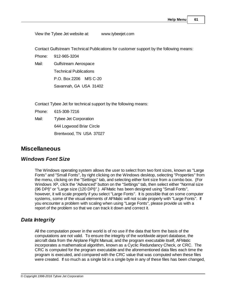View the Tybee Jet website at: www.tybeejet.com

Contact Gulfstream Technical Publications for customer support by the following means:

Phone: 912-965-3204

Mail: Gulfstream Aerospace

Technical Publications

P.O. Box 2206 M/S C-20

Savannah, GA USA 31402

Contact Tybee Jet for technical support by the following means:

Phone: 615-308-7216

Mail: Tybee Jet Corporation

644 Logwood Briar Circle

Brentwood, TN USA 37027

# **Miscellaneous**

# *Windows Font Size*

The Windows operating system allows the user to select from two font sizes, known as "Large Fonts" and "Small Fonts", by right clicking on the Windows desktop, selecting "Properties" from the menu, clicking on the "Settings" tab, and selecting either font size from a combo box. (For Windows XP, click the "Advanced" button on the "Settings" tab, then select either "Normal size (96 DPI)" or "Large size (120 DPI)".) AFMatic has been designed using "Small Fonts", however, it will scale properly if you select "Large Fonts". It is possible that on some computer systems, some of the visual elements of AFMatic will not scale properly with "Large Fonts". If you encounter a problem with scaling when using "Large Fonts", please provide us with a report of the problem so that we can track it down and correct it.

# *Data Integrity*

All the computation power in the world is of no use if the data that form the basis of the computations are not valid. To ensure the integrity of the worldwide airport database, the aircraft data from the Airplane Flight Manual, and the program executable itself, AFMatic incorporates a mathematical algorithm, known as a Cyclic Redundancy Check, or CRC. The CRC is computed for the program executable and the aforementioned data files each time the program is executed, and compared with the CRC value that was computed when these files were created. If so much as a single bit in a single byte in any of these files has been changed,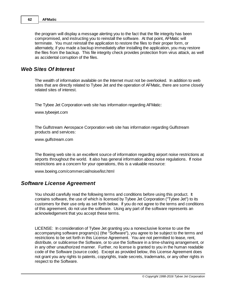the program will display a message alerting you to the fact that the file integrity has been compromised, and instructing you to reinstall the software. At that point, AFMatic will terminate. You must reinstall the application to restore the files to their proper form, or alternately, if you made a backup immediately after installing the application, you may restore the files from the backup. This file integrity check provides protection from virus attack, as well as accidental corruption of the files.

# *Web Sites Of Interest*

The wealth of information available on the Internet must not be overlooked. In addition to web sites that are directly related to Tybee Jet and the operation of AFMatic, there are some closely related sites of interest.

The Tybee Jet Corporation web site has information regarding AFMatic:

www.tybeejet.com

The Gulfstream Aerospace Corporation web site has information regarding Gulfstream products and services:

www.gulfstream.com

The Boeing web site is an excellent source of information regarding airport noise restrictions at airports throughout the world. It also has general information about noise regulations. If noise restrictions are a concern for your operations, this is a valuable resource:

www.boeing.com/commercial/noise/list.html

# *Software License Agreement*

You should carefully read the following terms and conditions before using this product. It contains software, the use of which is licensed by Tybee Jet Corporation ("Tybee Jet") to its customers for their use only as set forth below. If you do not agree to the terms and conditions of this agreement, do not use the software. Using any part of the software represents an acknowledgement that you accept these terms.

LICENSE: In consideration of Tybee Jet granting you a nonexclusive license to use the accompanying software program(s) (the "Software"), you agree to be subject to the terms and restrictions to be set forth in this License Agreement. You are not permitted to lease, rent, distribute, or sublicense the Software, or to use the Software in a time-sharing arrangement, or in any other unauthorized manner. Further, no license is granted to you in the human readable code of the Software (source code). Except as provided below, this License Agreement does not grant you any rights to patents, copyrights, trade secrets, trademarks, or any other rights in respect to the Software.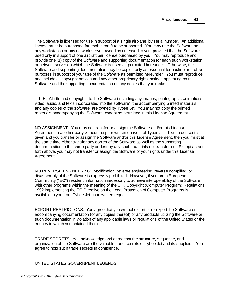The Software is licensed for use in support of a single airplane, by serial number. An additional license must be purchased for each aircraft to be supported. You may use the Software on any workstation or any network server owned by or leased to you, provided that the Software is used only in support of one aircraft per license purchased by you. You may reproduce and provide one (1) copy of the Software and supporting documentation for each such workstation or network server on which the Software is used as permitted hereunder. Otherwise, the Software and supporting documentation may be copied only as essential for backup or archive purposes in support of your use of the Software as permitted hereunder. You must reproduce and include all copyright notices and any other proprietary rights notices appearing on the Software and the supporting documentation on any copies that you make.

TITLE: All title and copyrights to the Software (including any images, photographs, animations, video, audio, and texts incorporated into the software), the accompanying printed materials, and any copies of the software, are owned by Tybee Jet. You may not copy the printed materials accompanying the Software, except as permitted in this License Agreement.

NO ASSIGNMENT: You may not transfer or assign the Software and/or this License Agreement to another party without the prior written consent of Tybee Jet. If such consent is given and you transfer or assign the Software and/or this License Agreement, then you must at the same time either transfer any copies of the Software as well as the supporting documentation to the same party or destroy any such materials not transferred. Except as set forth above, you may not transfer or assign the Software or your rights under this License Agreement.

NO REVERSE ENGINEERING: Modification, reverse engineering, reverse compiling, or disassembly of the Software is expressly prohibited. However, if you are a European Community ("EC") resident, information necessary to achieve interoperability of the Software with other programs within the meaning of the U.K. Copyright (Computer Program) Regulations 1992 implementing the EC Directive on the Legal Protection of Computer Programs is available to you from Tybee Jet upon written request.

EXPORT RESTRICTIONS: You agree that you will not export or re-export the Software or accompanying documentation (or any copies thereof) or any products utilizing the Software or such documentation in violation of any applicable laws or regulations of the United States or the country in which you obtained them.

TRADE SECRETS: You acknowledge and agree that the structure, sequence, and organization of the Software are the valuable trade secrets of Tybee Jet and its suppliers. You agree to hold such trade secrets in confidence.

UNITED STATES GOVERNMENT LEGENDS: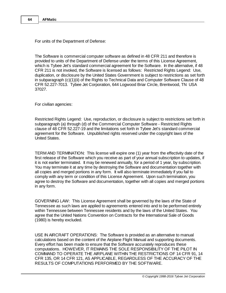For units of the Department of Defense:

The Software is commercial computer software as defined in 48 CFR 211 and therefore is provided to units of the Department of Defense under the terms of this License Agreement, which is Tybee Jet's standard commercial agreement for the Software. In the alternative, if 48 CFR 211 is not invoked, the Software is licensed as follows: Restricted Rights Legend: Use, duplication, or disclosure by the United States Government is subject to restrictions as set forth in subparagraph (c)(1)(ii) of the Rights to Technical Data and Computer Software Clause of 48 CFR 52.227-7013. Tybee Jet Corporation, 644 Logwood Briar Circle, Brentwood, TN USA 37027.

For civilian agencies:

Restricted Rights Legend: Use, reproduction, or disclosure is subject to restrictions set forth in subparagraph (a) through (d) of the Commercial Computer Software - Restricted Rights clause of 48 CFR 52.227-19 and the limitations set forth in Tybee Jet's standard commercial agreement for the Software. Unpublished rights reserved under the copyright laws of the United States.

TERM AND TERMINATION: This license will expire one (1) year from the effectivity date of the first release of the Software which you receive as part of your annual subscription to updates, if it is not earlier terminated. It may be renewed annually, for a period of 1 year, by subscription. You may terminate it at any time by destroying the Software and documentation together with all copies and merged portions in any form. It will also terminate immediately if you fail to comply with any term or condition of this License Agreement. Upon such termination, you agree to destroy the Software and documentation, together with all copies and merged portions in any form.

GOVERNING LAW: This License Agreement shall be governed by the laws of the State of Tennessee as such laws are applied to agreements entered into and to be performed entirely within Tennessee between Tennessee residents and by the laws of the United States. You agree that the United Nations Convention on Contracts for the International Sale of Goods (1980) is hereby excluded.

USE IN AIRCRAFT OPERATIONS: The Software is provided as an alternative to manual calculations based on the content of the Airplane Flight Manual and supporting documents. Every effort has been made to ensure that the Software accurately reproduces these computations. HOWEVER, IT REMAINS THE SOLE RESPONSIBILITY OF THE PILOT IN COMMAND TO OPERATE THE AIRPLANE WITHIN THE RESTRICTIONS OF 14 CFR 91, 14 CFR 135, OR 14 CFR 121, AS APPLICABLE, REGARDLESS OF THE ACCURACY OF THE RESULTS OF COMPUTATIONS PERFORMED BY THE SOFTWARE.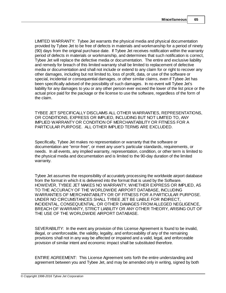LIMITED WARRANTY: Tybee Jet warrants the physical media and physical documentation provided by Tybee Jet to be free of defects in materials and workmanship for a period of ninety (90) days from the original purchase date. If Tybee Jet receives notification within the warranty period of defects in materials or workmanship, and determines that such notification is correct, Tybee Jet will replace the defective media or documentation. The entire and exclusive liability and remedy for breach of this limited warranty shall be limited to replacement of defective media or documentation and shall not include or extend to any claim for or right to recover any other damages, including but not limited to, loss of profit, data, or use of the software or special, incidental or consequential damages, or other similar claims, even if Tybee Jet has been specifically advised of the possibility of such damages. In no event will Tybee Jet's liability for any damages to you or any other person ever exceed the lower of the list price or the actual price paid for the package or the license to use the software, regardless of the form of the claim.

TYBEE JET SPECIFICALLY DISCLAIMS ALL OTHER WARRANTIES, REPRESENTATIONS, OR CONDITIONS, EXPRESS OR IMPLIED, INCLUDING BUT NOT LIMITED TO, ANY IMPLIED WARRANTY OR CONDITION OF MERCHANTABILITY OR FITNESS FOR A PARTICULAR PURPOSE. ALL OTHER IMPLIED TERMS ARE EXCLUDED.

Specifically, Tybee Jet makes no representation or warranty that the software or documentation are "error-free", or meet any user's particular standards, requirements, or needs. In all events, any implied warranty, representation, condition, or other term is limited to the physical media and documentation and is limited to the 90-day duration of the limited warranty.

Tybee Jet assumes the responsibility of accurately processing the worldwide airport database from the format in which it is delivered into the format that is used by the Software. HOWEVER, TYBEE JET MAKES NO WARRANTY, WHETHER EXPRESS OR IMPLIED, AS TO THE ACCURACY OF THE WORLDWIDE AIRPORT DATABASE, INCLUDING WARRANTIES OF MERCHANTABILITY OR OF FITNESS FOR A PARTICULAR PURPOSE. UNDER NO CIRCUMSTANCES SHALL TYBEE JET BE LIABLE FOR INDIRECT, INCIDENTAL, CONSEQUENTIAL, OR OTHER DAMAGES FROM ALLEGED NEGLIGENCE, BREACH OF WARRANTY, STRICT LIABILITY OR ANY OTHER THEORY, ARISING OUT OF THE USE OF THE WORLDWIDE AIRPORT DATABASE.

SEVERABILITY: In the event any provision of this License Agreement is found to be invalid, illegal, or unenforceable, the validity, legality, and enforceability of any of the remaining provisions shall not in any way be affected or impaired and a valid, legal, and enforceable provision of similar intent and economic impact shall be substituted therefore.

ENTIRE AGREEMENT: This License Agreement sets forth the entire understanding and agreement between you and Tybee Jet, and may be amended only in writing, signed by both